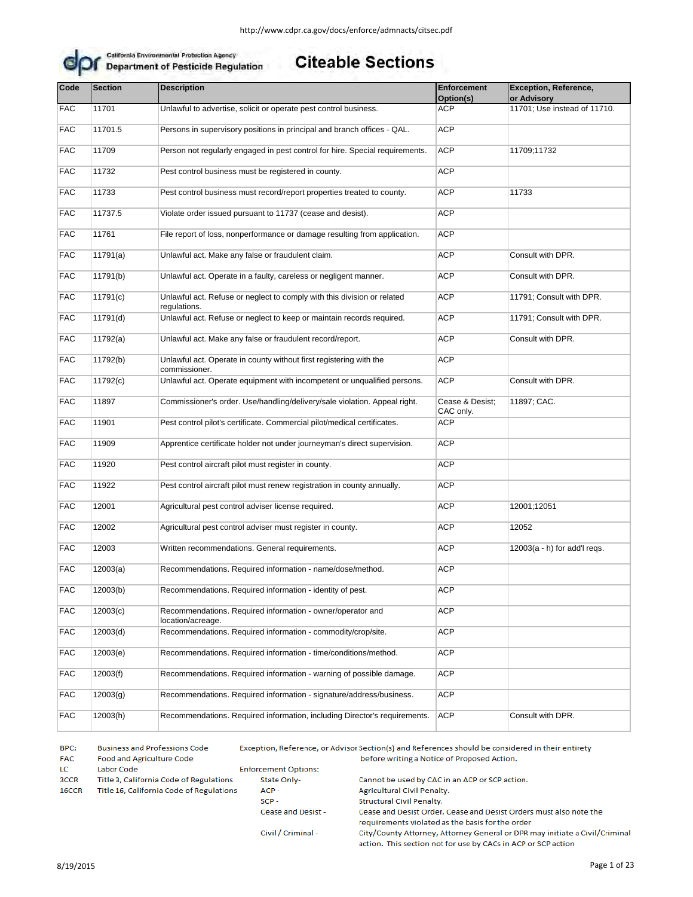

#### **Citeable Sections**

| Code       | <b>Section</b> | <b>Description</b>                                                                      | <b>Enforcement</b><br>Option(s) | <b>Exception, Reference,</b><br>or Advisory |
|------------|----------------|-----------------------------------------------------------------------------------------|---------------------------------|---------------------------------------------|
| <b>FAC</b> | 11701          | Unlawful to advertise, solicit or operate pest control business.                        | <b>ACP</b>                      | 11701; Use instead of 11710.                |
| <b>FAC</b> | 11701.5        | Persons in supervisory positions in principal and branch offices - QAL.                 | <b>ACP</b>                      |                                             |
| <b>FAC</b> | 11709          | Person not regularly engaged in pest control for hire. Special requirements.            | <b>ACP</b>                      | 11709;11732                                 |
| <b>FAC</b> | 11732          | Pest control business must be registered in county.                                     | <b>ACP</b>                      |                                             |
| <b>FAC</b> | 11733          | Pest control business must record/report properties treated to county.                  | <b>ACP</b>                      | 11733                                       |
| <b>FAC</b> | 11737.5        | Violate order issued pursuant to 11737 (cease and desist).                              | ACP                             |                                             |
| <b>FAC</b> | 11761          | File report of loss, nonperformance or damage resulting from application.               | <b>ACP</b>                      |                                             |
| <b>FAC</b> | 11791(a)       | Unlawful act. Make any false or fraudulent claim.                                       | <b>ACP</b>                      | Consult with DPR.                           |
| <b>FAC</b> | 11791(b)       | Unlawful act. Operate in a faulty, careless or negligent manner.                        | <b>ACP</b>                      | Consult with DPR.                           |
| <b>FAC</b> | 11791(c)       | Unlawful act. Refuse or neglect to comply with this division or related<br>regulations. | <b>ACP</b>                      | 11791; Consult with DPR.                    |
| <b>FAC</b> | 11791(d)       | Unlawful act. Refuse or neglect to keep or maintain records required.                   | <b>ACP</b>                      | 11791; Consult with DPR.                    |
| <b>FAC</b> | 11792(a)       | Unlawful act. Make any false or fraudulent record/report.                               | <b>ACP</b>                      | Consult with DPR.                           |
| <b>FAC</b> | 11792(b)       | Unlawful act. Operate in county without first registering with the<br>commissioner.     | <b>ACP</b>                      |                                             |
| <b>FAC</b> | 11792(c)       | Unlawful act. Operate equipment with incompetent or unqualified persons.                | <b>ACP</b>                      | Consult with DPR.                           |
| <b>FAC</b> | 11897          | Commissioner's order. Use/handling/delivery/sale violation. Appeal right.               | Cease & Desist;<br>CAC only.    | 11897; CAC.                                 |
| <b>FAC</b> | 11901          | Pest control pilot's certificate. Commercial pilot/medical certificates.                | <b>ACP</b>                      |                                             |
| <b>FAC</b> | 11909          | Apprentice certificate holder not under journeyman's direct supervision.                | <b>ACP</b>                      |                                             |
| <b>FAC</b> | 11920          | Pest control aircraft pilot must register in county.                                    | ACP                             |                                             |
| <b>FAC</b> | 11922          | Pest control aircraft pilot must renew registration in county annually.                 | <b>ACP</b>                      |                                             |
| <b>FAC</b> | 12001          | Agricultural pest control adviser license required.                                     | <b>ACP</b>                      | 12001;12051                                 |
| <b>FAC</b> | 12002          | Agricultural pest control adviser must register in county.                              | <b>ACP</b>                      | 12052                                       |
| <b>FAC</b> | 12003          | Written recommendations. General requirements.                                          | <b>ACP</b>                      | $12003(a - h)$ for add'l regs.              |
| <b>FAC</b> | 12003(a)       | Recommendations. Required information - name/dose/method.                               | <b>ACP</b>                      |                                             |
| <b>FAC</b> | 12003(b)       | Recommendations. Required information - identity of pest.                               | <b>ACP</b>                      |                                             |
| <b>FAC</b> | 12003(c)       | Recommendations. Required information - owner/operator and<br>location/acreage.         | <b>ACP</b>                      |                                             |
| <b>FAC</b> | 12003(d)       | Recommendations. Required information - commodity/crop/site.                            | <b>ACP</b>                      |                                             |
| <b>FAC</b> | 12003(e)       | Recommendations. Required information - time/conditions/method.                         | ACP                             |                                             |
| <b>FAC</b> | 12003(f)       | Recommendations. Required information - warning of possible damage.                     | <b>ACP</b>                      |                                             |
| <b>FAC</b> | 12003(g)       | Recommendations. Required information - signature/address/business.                     | ACP                             |                                             |
| <b>FAC</b> | 12003(h)       | Recommendations. Required information, including Director's requirements.               | <b>ACP</b>                      | Consult with DPR.                           |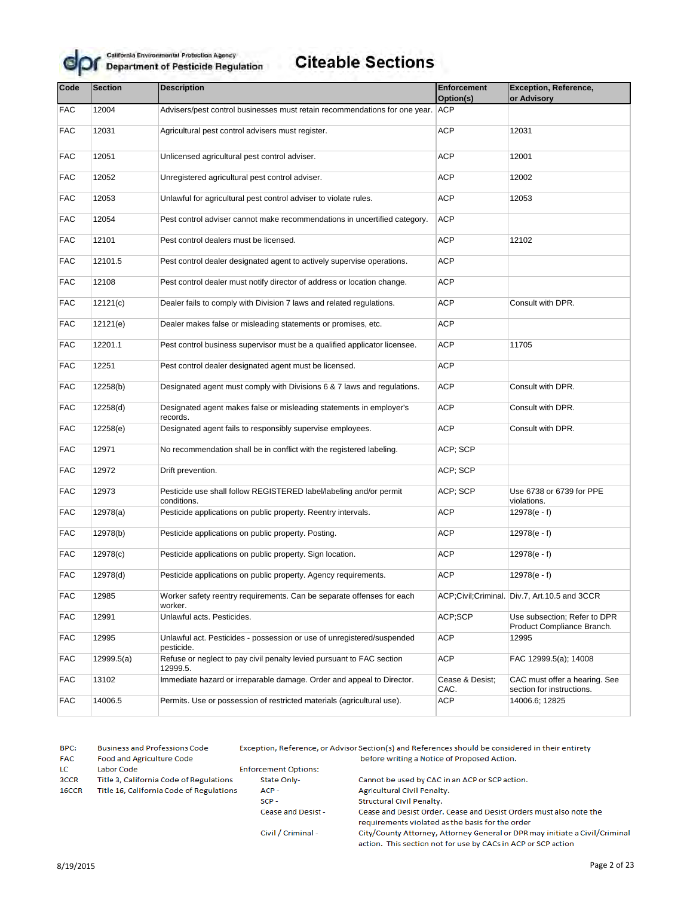

| Code       | <b>Section</b> | <b>Description</b>                                                                   | <b>Enforcement</b><br>Option(s) | Exception, Reference,<br>or Advisory                       |
|------------|----------------|--------------------------------------------------------------------------------------|---------------------------------|------------------------------------------------------------|
| <b>FAC</b> | 12004          | Advisers/pest control businesses must retain recommendations for one year. ACP       |                                 |                                                            |
| <b>FAC</b> | 12031          | Agricultural pest control advisers must register.                                    | <b>ACP</b>                      | 12031                                                      |
| <b>FAC</b> | 12051          | Unlicensed agricultural pest control adviser.                                        | <b>ACP</b>                      | 12001                                                      |
| <b>FAC</b> | 12052          | Unregistered agricultural pest control adviser.                                      | <b>ACP</b>                      | 12002                                                      |
| <b>FAC</b> | 12053          | Unlawful for agricultural pest control adviser to violate rules.                     | <b>ACP</b>                      | 12053                                                      |
| <b>FAC</b> | 12054          | Pest control adviser cannot make recommendations in uncertified category.            | <b>ACP</b>                      |                                                            |
| <b>FAC</b> | 12101          | Pest control dealers must be licensed.                                               | <b>ACP</b>                      | 12102                                                      |
| <b>FAC</b> | 12101.5        | Pest control dealer designated agent to actively supervise operations.               | <b>ACP</b>                      |                                                            |
| <b>FAC</b> | 12108          | Pest control dealer must notify director of address or location change.              | <b>ACP</b>                      |                                                            |
| <b>FAC</b> | 12121(c)       | Dealer fails to comply with Division 7 laws and related regulations.                 | ACP                             | Consult with DPR.                                          |
| <b>FAC</b> | 12121(e)       | Dealer makes false or misleading statements or promises, etc.                        | <b>ACP</b>                      |                                                            |
| <b>FAC</b> | 12201.1        | Pest control business supervisor must be a qualified applicator licensee.            | <b>ACP</b>                      | 11705                                                      |
| <b>FAC</b> | 12251          | Pest control dealer designated agent must be licensed.                               | <b>ACP</b>                      |                                                            |
| <b>FAC</b> | 12258(b)       | Designated agent must comply with Divisions 6 & 7 laws and regulations.              | <b>ACP</b>                      | Consult with DPR.                                          |
| <b>FAC</b> | 12258(d)       | Designated agent makes false or misleading statements in employer's<br>records.      | <b>ACP</b>                      | Consult with DPR.                                          |
| <b>FAC</b> | 12258(e)       | Designated agent fails to responsibly supervise employees.                           | <b>ACP</b>                      | Consult with DPR.                                          |
| <b>FAC</b> | 12971          | No recommendation shall be in conflict with the registered labeling.                 | ACP; SCP                        |                                                            |
| <b>FAC</b> | 12972          | Drift prevention.                                                                    | ACP; SCP                        |                                                            |
| <b>FAC</b> | 12973          | Pesticide use shall follow REGISTERED label/labeling and/or permit<br>conditions.    | ACP; SCP                        | Use 6738 or 6739 for PPE<br>violations.                    |
| <b>FAC</b> | 12978(a)       | Pesticide applications on public property. Reentry intervals.                        | <b>ACP</b>                      | $12978(e - f)$                                             |
| <b>FAC</b> | 12978(b)       | Pesticide applications on public property. Posting.                                  | <b>ACP</b>                      | $12978(e - f)$                                             |
| <b>FAC</b> | 12978(c)       | Pesticide applications on public property. Sign location.                            | <b>ACP</b>                      | $12978(e - f)$                                             |
| <b>FAC</b> | 12978(d)       | Pesticide applications on public property. Agency requirements.                      | <b>ACP</b>                      | $12978(e - f)$                                             |
| <b>FAC</b> | 12985          | Worker safety reentry requirements. Can be separate offenses for each<br>worker.     |                                 | ACP;Civil;Criminal.   Div.7, Art.10.5 and 3CCR             |
| <b>FAC</b> | 12991          | Unlawful acts. Pesticides.                                                           | ACP;SCP                         | Use subsection; Refer to DPR<br>Product Compliance Branch. |
| <b>FAC</b> | 12995          | Unlawful act. Pesticides - possession or use of unregistered/suspended<br>pesticide. | ACP                             | 12995                                                      |
| <b>FAC</b> | 12999.5(a)     | Refuse or neglect to pay civil penalty levied pursuant to FAC section<br>12999.5.    | ACP                             | FAC 12999.5(a); 14008                                      |
| <b>FAC</b> | 13102          | Immediate hazard or irreparable damage. Order and appeal to Director.                | Cease & Desist;<br>CAC.         | CAC must offer a hearing. See<br>section for instructions. |
| <b>FAC</b> | 14006.5        | Permits. Use or possession of restricted materials (agricultural use).               | ACP                             | 14006.6; 12825                                             |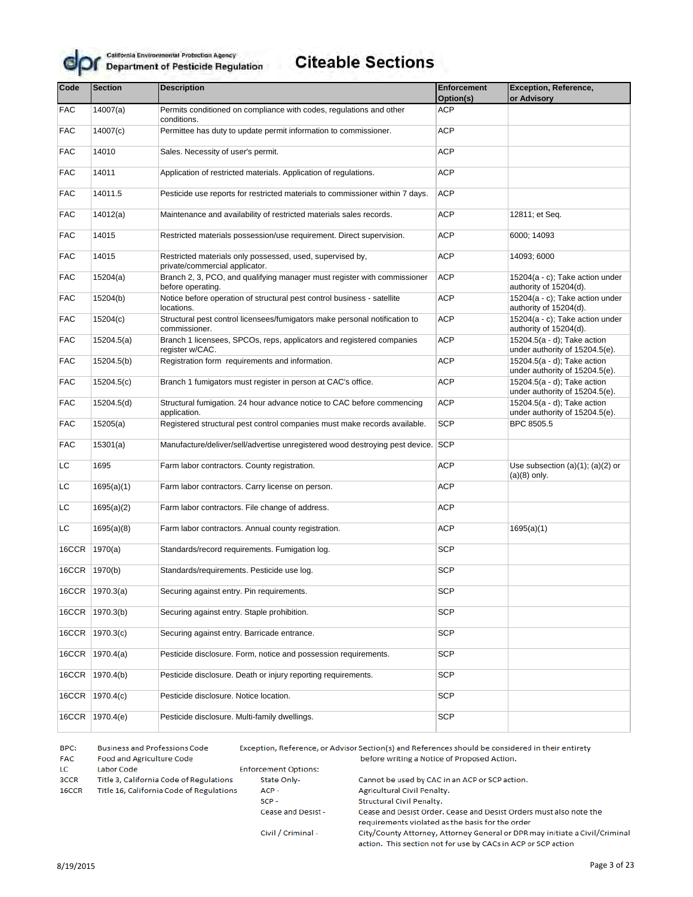

| Code       | <b>Section</b>  | <b>Description</b>                                                                            | Enforcement<br>Option(s) | <b>Exception, Reference,</b><br>or Advisory                   |
|------------|-----------------|-----------------------------------------------------------------------------------------------|--------------------------|---------------------------------------------------------------|
| FAC        | 14007(a)        | Permits conditioned on compliance with codes, regulations and other<br>conditions.            | <b>ACP</b>               |                                                               |
| <b>FAC</b> | 14007(c)        | Permittee has duty to update permit information to commissioner.                              | <b>ACP</b>               |                                                               |
| <b>FAC</b> | 14010           | Sales. Necessity of user's permit.                                                            | <b>ACP</b>               |                                                               |
| <b>FAC</b> | 14011           | Application of restricted materials. Application of regulations.                              | <b>ACP</b>               |                                                               |
| <b>FAC</b> | 14011.5         | Pesticide use reports for restricted materials to commissioner within 7 days.                 | <b>ACP</b>               |                                                               |
| <b>FAC</b> | 14012(a)        | Maintenance and availability of restricted materials sales records.                           | <b>ACP</b>               | 12811; et Seq.                                                |
| <b>FAC</b> | 14015           | Restricted materials possession/use requirement. Direct supervision.                          | <b>ACP</b>               | 6000; 14093                                                   |
| <b>FAC</b> | 14015           | Restricted materials only possessed, used, supervised by,<br>private/commercial applicator.   | <b>ACP</b>               | 14093; 6000                                                   |
| <b>FAC</b> | 15204(a)        | Branch 2, 3, PCO, and qualifying manager must register with commissioner<br>before operating. | <b>ACP</b>               | 15204(a - c); Take action under<br>authority of 15204(d).     |
| <b>FAC</b> | 15204(b)        | Notice before operation of structural pest control business - satellite<br>locations.         | <b>ACP</b>               | 15204(a - c); Take action under<br>authority of 15204(d).     |
| <b>FAC</b> | 15204(c)        | Structural pest control licensees/fumigators make personal notification to<br>commissioner.   | <b>ACP</b>               | 15204(a - c); Take action under<br>authority of 15204(d).     |
| <b>FAC</b> | 15204.5(a)      | Branch 1 licensees, SPCOs, reps, applicators and registered companies<br>register w/CAC.      | <b>ACP</b>               | 15204.5(a - d); Take action<br>under authority of 15204.5(e). |
| <b>FAC</b> | 15204.5(b)      | Registration form requirements and information.                                               | <b>ACP</b>               | 15204.5(a - d); Take action<br>under authority of 15204.5(e). |
| <b>FAC</b> | 15204.5(c)      | Branch 1 fumigators must register in person at CAC's office.                                  | <b>ACP</b>               | 15204.5(a - d); Take action<br>under authority of 15204.5(e). |
| <b>FAC</b> | 15204.5(d)      | Structural fumigation. 24 hour advance notice to CAC before commencing<br>application.        | <b>ACP</b>               | 15204.5(a - d); Take action<br>under authority of 15204.5(e). |
| <b>FAC</b> | 15205(a)        | Registered structural pest control companies must make records available.                     | <b>SCP</b>               | BPC 8505.5                                                    |
| <b>FAC</b> | 15301(a)        | Manufacture/deliver/sell/advertise unregistered wood destroying pest device. SCP              |                          |                                                               |
| LC         | 1695            | Farm labor contractors. County registration.                                                  | <b>ACP</b>               | Use subsection $(a)(1)$ ; $(a)(2)$ or<br>$(a)(8)$ only.       |
| LC         | 1695(a)(1)      | Farm labor contractors. Carry license on person.                                              | <b>ACP</b>               |                                                               |
| LC         | 1695(a)(2)      | Farm labor contractors. File change of address.                                               | <b>ACP</b>               |                                                               |
| <b>LC</b>  | 1695(a)(8)      | Farm labor contractors. Annual county registration.                                           | <b>ACP</b>               | 1695(a)(1)                                                    |
| 16CCR      | 1970(a)         | Standards/record requirements. Fumigation log.                                                | <b>SCP</b>               |                                                               |
|            | 16CCR   1970(b) | Standards/requirements. Pesticide use log.                                                    | <b>SCP</b>               |                                                               |
|            | 16CCR 1970.3(a) | Securing against entry. Pin requirements.                                                     | <b>SCP</b>               |                                                               |
| 16CCR      | 1970.3(b)       | Securing against entry. Staple prohibition.                                                   | <b>SCP</b>               |                                                               |
| 16CCR      | 1970.3(c)       | Securing against entry. Barricade entrance.                                                   | <b>SCP</b>               |                                                               |
| 16CCR      | 1970.4(a)       | Pesticide disclosure. Form, notice and possession requirements.                               | <b>SCP</b>               |                                                               |
| 16CCR      | 1970.4(b)       | Pesticide disclosure. Death or injury reporting requirements.                                 | <b>SCP</b>               |                                                               |
| 16CCR      | 1970.4(c)       | Pesticide disclosure. Notice location.                                                        | <b>SCP</b>               |                                                               |
| 16CCR      | 1970.4(e)       | Pesticide disclosure. Multi-family dwellings.                                                 | <b>SCP</b>               |                                                               |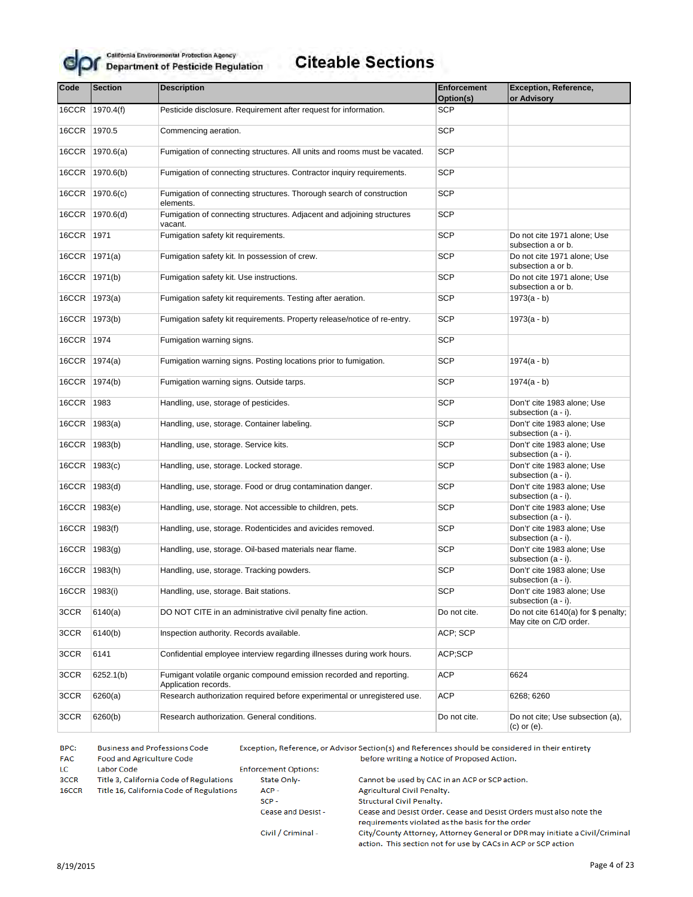

## **Citeable Sections**

| Code  | <b>Section</b>  | <b>Description</b>                                                                          | <b>Enforcement</b><br>Option(s) | <b>Exception, Reference,</b><br>or Advisory                   |
|-------|-----------------|---------------------------------------------------------------------------------------------|---------------------------------|---------------------------------------------------------------|
| 16CCR | 1970.4(f)       | Pesticide disclosure. Requirement after request for information.                            | <b>SCP</b>                      |                                                               |
|       |                 |                                                                                             | <b>SCP</b>                      |                                                               |
| 16CCR | 1970.5          | Commencing aeration.                                                                        |                                 |                                                               |
| 16CCR | 1970.6(a)       | Fumigation of connecting structures. All units and rooms must be vacated.                   | <b>SCP</b>                      |                                                               |
| 16CCR | 1970.6(b)       | Fumigation of connecting structures. Contractor inquiry requirements.                       | <b>SCP</b>                      |                                                               |
| 16CCR | 1970.6(c)       | Fumigation of connecting structures. Thorough search of construction<br>elements.           | <b>SCP</b>                      |                                                               |
| 16CCR | 1970.6(d)       | Fumigation of connecting structures. Adjacent and adjoining structures<br>vacant.           | <b>SCP</b>                      |                                                               |
| 16CCR | 1971            | Fumigation safety kit requirements.                                                         | <b>SCP</b>                      | Do not cite 1971 alone; Use<br>subsection a or b.             |
| 16CCR | 1971(a)         | Fumigation safety kit. In possession of crew.                                               | <b>SCP</b>                      | Do not cite 1971 alone; Use<br>subsection a or b.             |
| 16CCR | 1971(b)         | Fumigation safety kit. Use instructions.                                                    | <b>SCP</b>                      | Do not cite 1971 alone; Use<br>subsection a or b.             |
| 16CCR | 1973(a)         | Fumigation safety kit requirements. Testing after aeration.                                 | <b>SCP</b>                      | $1973(a - b)$                                                 |
| 16CCR | 1973(b)         | Fumigation safety kit requirements. Property release/notice of re-entry.                    | <b>SCP</b>                      | $1973(a - b)$                                                 |
| 16CCR | 1974            | Fumigation warning signs.                                                                   | <b>SCP</b>                      |                                                               |
| 16CCR | 1974(a)         | Fumigation warning signs. Posting locations prior to fumigation.                            | <b>SCP</b>                      | $1974(a - b)$                                                 |
| 16CCR | 1974(b)         | Fumigation warning signs. Outside tarps.                                                    | <b>SCP</b>                      | $1974(a - b)$                                                 |
| 16CCR | 1983            | Handling, use, storage of pesticides.                                                       | <b>SCP</b>                      | Don't' cite 1983 alone; Use<br>subsection $(a - i)$ .         |
| 16CCR | 1983(a)         | Handling, use, storage. Container labeling.                                                 | <b>SCP</b>                      | Don't' cite 1983 alone; Use<br>subsection $(a - i)$ .         |
| 16CCR | 1983(b)         | Handling, use, storage. Service kits.                                                       | <b>SCP</b>                      | Don't' cite 1983 alone; Use<br>subsection $(a - i)$ .         |
| 16CCR | 1983(c)         | Handling, use, storage. Locked storage.                                                     | <b>SCP</b>                      | Don't' cite 1983 alone; Use<br>subsection (a - i).            |
| 16CCR | 1983(d)         | Handling, use, storage. Food or drug contamination danger.                                  | <b>SCP</b>                      | Don't' cite 1983 alone; Use<br>subsection (a - i).            |
| 16CCR | 1983(e)         | Handling, use, storage. Not accessible to children, pets.                                   | <b>SCP</b>                      | Don't' cite 1983 alone; Use<br>subsection $(a - i)$ .         |
| 16CCR | 1983(f)         | Handling, use, storage. Rodenticides and avicides removed.                                  | <b>SCP</b>                      | Don't' cite 1983 alone; Use<br>subsection $(a - i)$ .         |
| 16CCR | 1983(g)         | Handling, use, storage. Oil-based materials near flame.                                     | <b>SCP</b>                      | Don't' cite 1983 alone; Use<br>subsection $(a - i)$ .         |
| 16CCR | 1983(h)         | Handling, use, storage. Tracking powders.                                                   | <b>SCP</b>                      | Don't' cite 1983 alone; Use<br>subsection $(a - i)$ .         |
|       | 16CCR   1983(i) | Handling, use, storage. Bait stations.                                                      | <b>SCP</b>                      | Don't' cite 1983 alone; Use<br>subsection $(a - i)$ .         |
| 3CCR  | 6140(a)         | DO NOT CITE in an administrative civil penalty fine action.                                 | Do not cite.                    | Do not cite 6140(a) for \$ penalty;<br>May cite on C/D order. |
| 3CCR  | 6140(b)         | Inspection authority. Records available.                                                    | ACP; SCP                        |                                                               |
| 3CCR  | 6141            | Confidential employee interview regarding illnesses during work hours.                      | ACP;SCP                         |                                                               |
| 3CCR  | 6252.1(b)       | Fumigant volatile organic compound emission recorded and reporting.<br>Application records. | ACP                             | 6624                                                          |
| 3CCR  | 6260(a)         | Research authorization required before experimental or unregistered use.                    | ACP                             | 6268; 6260                                                    |
| 3CCR  | 6260(b)         | Research authorization. General conditions.                                                 | Do not cite.                    | Do not cite; Use subsection (a),<br>$(c)$ or $(e)$ .          |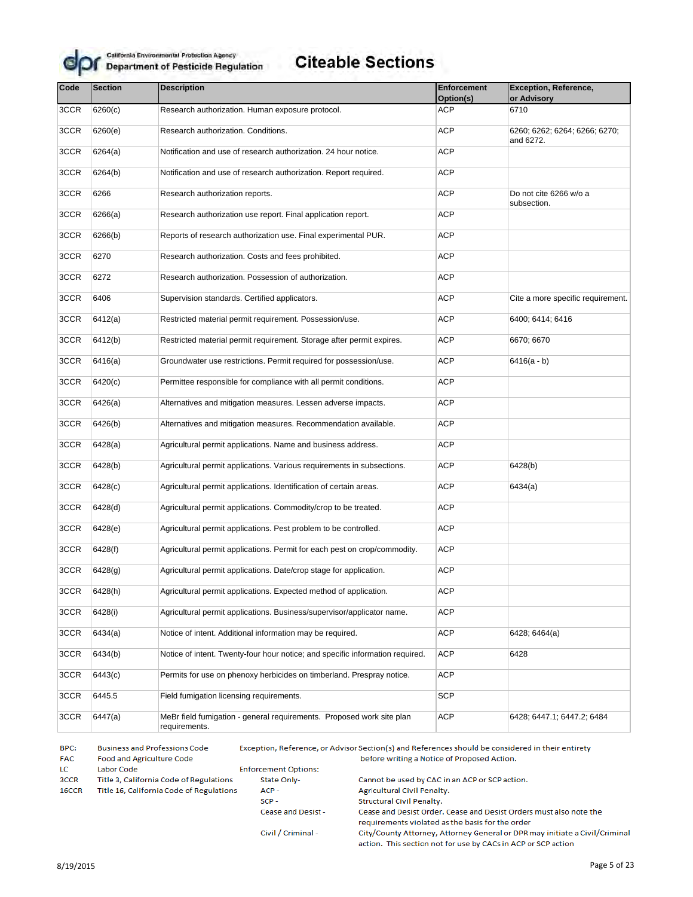

# **Citeable Sections**

| Code | <b>Section</b> | <b>Description</b>                                                                     | <b>Enforcement</b> | <b>Exception, Reference,</b>               |
|------|----------------|----------------------------------------------------------------------------------------|--------------------|--------------------------------------------|
|      |                |                                                                                        | Option(s)          | or Advisory                                |
| 3CCR | 6260(c)        | Research authorization. Human exposure protocol.                                       | ACP                | 6710                                       |
| 3CCR | 6260(e)        | Research authorization. Conditions.                                                    | <b>ACP</b>         | 6260; 6262; 6264; 6266; 6270;<br>and 6272. |
| 3CCR | 6264(a)        | Notification and use of research authorization. 24 hour notice.                        | <b>ACP</b>         |                                            |
| 3CCR | 6264(b)        | Notification and use of research authorization. Report required.                       | <b>ACP</b>         |                                            |
| 3CCR | 6266           | Research authorization reports.                                                        | <b>ACP</b>         | Do not cite 6266 w/o a<br>subsection.      |
| 3CCR | 6266(a)        | Research authorization use report. Final application report.                           | ACP                |                                            |
| 3CCR | 6266(b)        | Reports of research authorization use. Final experimental PUR.                         | <b>ACP</b>         |                                            |
| 3CCR | 6270           | Research authorization. Costs and fees prohibited.                                     | <b>ACP</b>         |                                            |
| 3CCR | 6272           | Research authorization. Possession of authorization.                                   | <b>ACP</b>         |                                            |
| 3CCR | 6406           | Supervision standards. Certified applicators.                                          | <b>ACP</b>         | Cite a more specific requirement.          |
| 3CCR | 6412(a)        | Restricted material permit requirement. Possession/use.                                | <b>ACP</b>         | 6400; 6414; 6416                           |
| 3CCR | 6412(b)        | Restricted material permit requirement. Storage after permit expires.                  | <b>ACP</b>         | 6670; 6670                                 |
| 3CCR | 6416(a)        | Groundwater use restrictions. Permit required for possession/use.                      | <b>ACP</b>         | $6416(a - b)$                              |
| 3CCR | 6420(c)        | Permittee responsible for compliance with all permit conditions.                       | <b>ACP</b>         |                                            |
| 3CCR | 6426(a)        | Alternatives and mitigation measures. Lessen adverse impacts.                          | <b>ACP</b>         |                                            |
| 3CCR | 6426(b)        | Alternatives and mitigation measures. Recommendation available.                        | <b>ACP</b>         |                                            |
| 3CCR | 6428(a)        | Agricultural permit applications. Name and business address.                           | <b>ACP</b>         |                                            |
| 3CCR | 6428(b)        | Agricultural permit applications. Various requirements in subsections.                 | <b>ACP</b>         | 6428(b)                                    |
| 3CCR | 6428(c)        | Agricultural permit applications. Identification of certain areas.                     | <b>ACP</b>         | 6434(a)                                    |
| 3CCR | 6428(d)        | Agricultural permit applications. Commodity/crop to be treated.                        | <b>ACP</b>         |                                            |
| 3CCR | 6428(e)        | Agricultural permit applications. Pest problem to be controlled.                       | <b>ACP</b>         |                                            |
| 3CCR | 6428(f)        | Agricultural permit applications. Permit for each pest on crop/commodity.              | <b>ACP</b>         |                                            |
| 3CCR | 6428(g)        | Agricultural permit applications. Date/crop stage for application.                     | <b>ACP</b>         |                                            |
| 3CCR | 6428(h)        | Agricultural permit applications. Expected method of application.                      | <b>ACP</b>         |                                            |
| 3CCR | 6428(i)        | Agricultural permit applications. Business/supervisor/applicator name.                 | <b>ACP</b>         |                                            |
| 3CCR | 6434(a)        | Notice of intent. Additional information may be required.                              | <b>ACP</b>         | 6428; 6464(a)                              |
| 3CCR | 6434(b)        | Notice of intent. Twenty-four hour notice; and specific information required.          | <b>ACP</b>         | 6428                                       |
| 3CCR | 6443(c)        | Permits for use on phenoxy herbicides on timberland. Prespray notice.                  | <b>ACP</b>         |                                            |
| 3CCR | 6445.5         | Field fumigation licensing requirements.                                               | <b>SCP</b>         |                                            |
| 3CCR | 6447(a)        | MeBr field fumigation - general requirements. Proposed work site plan<br>requirements. | <b>ACP</b>         | 6428; 6447.1; 6447.2; 6484                 |

BPC: **Business and Professions Code** Exception, Reference, or Advisor Section(s) and References should be considered in their entirety **FAC** Food and Agriculture Code before writing a Notice of Proposed Action. **Enforcement Options:** LC Labor Code 3CCR Title 3, California Code of Regulations State Only-Cannot be used by CAC in an ACP or SCP action. ACP-16CCR Title 16, California Code of Regulations Agricultural Civil Penalty.  $SCP -$ Structural Civil Penalty. Cease and Desist -Cease and Desist Order. Cease and Desist Orders must also note the requirements violated as the basis for the order City/County Attorney, Attorney General or DPR may initiate a Civil/Criminal Civil / Criminal -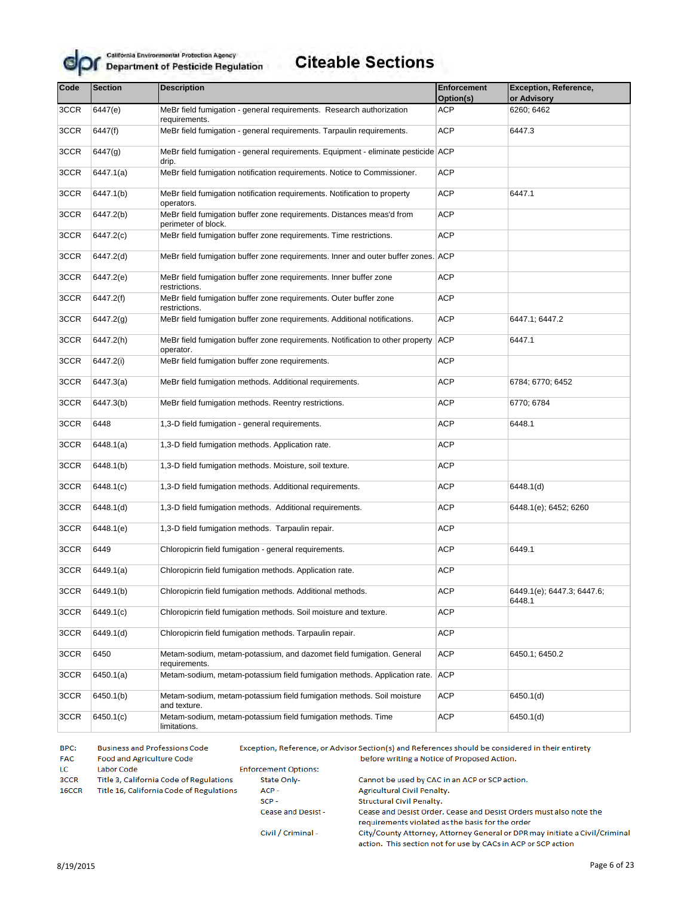

| Code | <b>Section</b>        | <b>Description</b>                                                                           | <b>Enforcement</b><br>Option(s) | <b>Exception, Reference,</b><br>or Advisory |
|------|-----------------------|----------------------------------------------------------------------------------------------|---------------------------------|---------------------------------------------|
| 3CCR | 6447(e)               | MeBr field fumigation - general requirements. Research authorization<br>requirements.        | <b>ACP</b>                      | 6260; 6462                                  |
| 3CCR | 6447(f)               | MeBr field fumigation - general requirements. Tarpaulin requirements.                        | <b>ACP</b>                      | 6447.3                                      |
| 3CCR | 6447(g)               | MeBr field fumigation - general requirements. Equipment - eliminate pesticide ACP<br>drip.   |                                 |                                             |
| 3CCR | 6447.1(a)             | MeBr field fumigation notification requirements. Notice to Commissioner.                     | <b>ACP</b>                      |                                             |
| 3CCR | 6447.1(b)             | MeBr field fumigation notification requirements. Notification to property<br>operators.      | <b>ACP</b>                      | 6447.1                                      |
| 3CCR | 6447.2(b)             | MeBr field fumigation buffer zone requirements. Distances meas'd from<br>perimeter of block. | <b>ACP</b>                      |                                             |
| 3CCR | 6447.2(c)             | MeBr field fumigation buffer zone requirements. Time restrictions.                           | <b>ACP</b>                      |                                             |
| 3CCR | 6447.2(d)             | MeBr field fumigation buffer zone requirements. Inner and outer buffer zones. ACP            |                                 |                                             |
| 3CCR | 6447.2(e)             | MeBr field fumigation buffer zone requirements. Inner buffer zone<br>restrictions.           | <b>ACP</b>                      |                                             |
| 3CCR | 6447.2(f)             | MeBr field fumigation buffer zone requirements. Outer buffer zone<br>restrictions.           | <b>ACP</b>                      |                                             |
| 3CCR | 6447.2 <sub>(g)</sub> | MeBr field fumigation buffer zone requirements. Additional notifications.                    | <b>ACP</b>                      | 6447.1; 6447.2                              |
| 3CCR | 6447.2(h)             | MeBr field fumigation buffer zone requirements. Notification to other property<br>operator.  | <b>ACP</b>                      | 6447.1                                      |
| 3CCR | 6447.2(i)             | MeBr field fumigation buffer zone requirements.                                              | <b>ACP</b>                      |                                             |
| 3CCR | 6447.3(a)             | MeBr field fumigation methods. Additional requirements.                                      | <b>ACP</b>                      | 6784; 6770; 6452                            |
| 3CCR | 6447.3(b)             | MeBr field fumigation methods. Reentry restrictions.                                         | <b>ACP</b>                      | 6770; 6784                                  |
| 3CCR | 6448                  | 1,3-D field fumigation - general requirements.                                               | <b>ACP</b>                      | 6448.1                                      |
| 3CCR | 6448.1(a)             | 1,3-D field fumigation methods. Application rate.                                            | <b>ACP</b>                      |                                             |
| 3CCR | 6448.1(b)             | 1,3-D field fumigation methods. Moisture, soil texture.                                      | <b>ACP</b>                      |                                             |
| 3CCR | 6448.1(c)             | 1,3-D field fumigation methods. Additional requirements.                                     | <b>ACP</b>                      | 6448.1(d)                                   |
| 3CCR | 6448.1(d)             | 1,3-D field fumigation methods. Additional requirements.                                     | <b>ACP</b>                      | 6448.1(e); 6452; 6260                       |
| 3CCR | 6448.1(e)             | 1,3-D field fumigation methods. Tarpaulin repair.                                            | <b>ACP</b>                      |                                             |
| 3CCR | 6449                  | Chloropicrin field fumigation - general requirements.                                        | <b>ACP</b>                      | 6449.1                                      |
| 3CCR | 6449.1(a)             | Chloropicrin field fumigation methods. Application rate.                                     | <b>ACP</b>                      |                                             |
| 3CCR | 6449.1(b)             | Chloropicrin field fumigation methods. Additional methods.                                   | <b>ACP</b>                      | 6449.1(e); 6447.3; 6447.6;<br>6448.1        |
| 3CCR | 6449.1(c)             | Chloropicrin field fumigation methods. Soil moisture and texture.                            | <b>ACP</b>                      |                                             |
| 3CCR | 6449.1(d)             | Chloropicrin field fumigation methods. Tarpaulin repair.                                     | <b>ACP</b>                      |                                             |
| 3CCR | 6450                  | Metam-sodium, metam-potassium, and dazomet field fumigation. General<br>requirements.        | <b>ACP</b>                      | 6450.1; 6450.2                              |
| 3CCR | 6450.1(a)             | Metam-sodium, metam-potassium field fumigation methods. Application rate.                    | ACP                             |                                             |
| 3CCR | 6450.1(b)             | Metam-sodium, metam-potassium field fumigation methods. Soil moisture<br>and texture.        | <b>ACP</b>                      | 6450.1(d)                                   |
| 3CCR | 6450.1(c)             | Metam-sodium, metam-potassium field fumigation methods. Time<br>limitations.                 | <b>ACP</b>                      | 6450.1(d)                                   |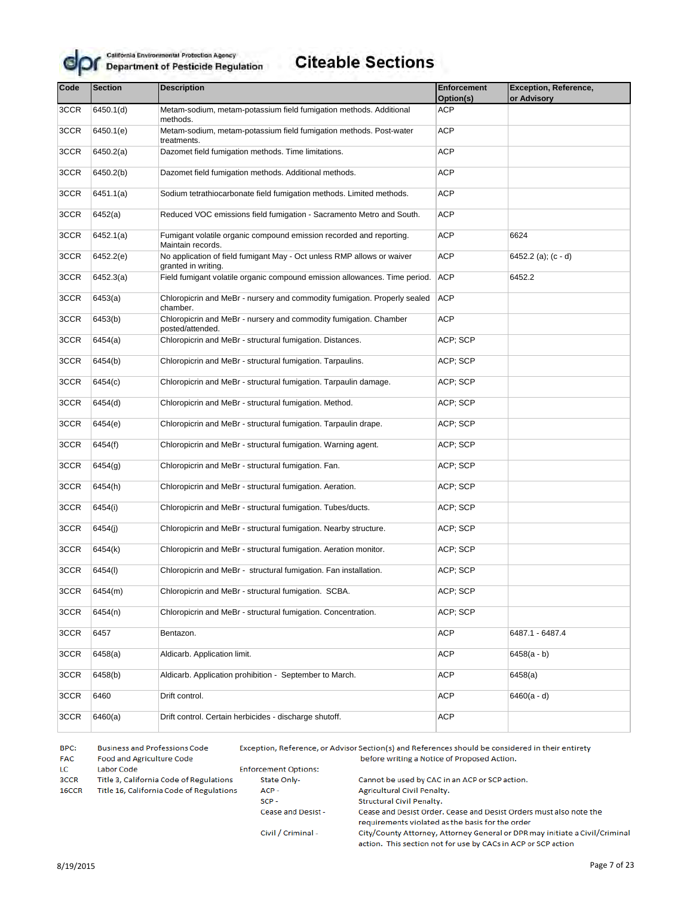

#### **Citeable Sections**

| Code | <b>Section</b> | <b>Description</b>                                                                            | <b>Enforcement</b><br>Option(s) | <b>Exception, Reference,</b><br>or Advisory |
|------|----------------|-----------------------------------------------------------------------------------------------|---------------------------------|---------------------------------------------|
| 3CCR | 6450.1(d)      | Metam-sodium, metam-potassium field fumigation methods. Additional                            | <b>ACP</b>                      |                                             |
|      |                | methods.                                                                                      |                                 |                                             |
| 3CCR | 6450.1(e)      | Metam-sodium, metam-potassium field fumigation methods. Post-water<br>treatments.             | <b>ACP</b>                      |                                             |
| 3CCR | 6450.2(a)      | Dazomet field fumigation methods. Time limitations.                                           | <b>ACP</b>                      |                                             |
| 3CCR | 6450.2(b)      | Dazomet field fumigation methods. Additional methods.                                         | <b>ACP</b>                      |                                             |
| 3CCR | 6451.1(a)      | Sodium tetrathiocarbonate field fumigation methods. Limited methods.                          | ACP                             |                                             |
| 3CCR | 6452(a)        | Reduced VOC emissions field fumigation - Sacramento Metro and South.                          | <b>ACP</b>                      |                                             |
| 3CCR | 6452.1(a)      | Fumigant volatile organic compound emission recorded and reporting.<br>Maintain records.      | ACP                             | 6624                                        |
| 3CCR | 6452.2(e)      | No application of field fumigant May - Oct unless RMP allows or waiver<br>granted in writing. | ACP                             | 6452.2 (a); (c - d)                         |
| 3CCR | 6452.3(a)      | Field fumigant volatile organic compound emission allowances. Time period.                    | <b>ACP</b>                      | 6452.2                                      |
| 3CCR | 6453(a)        | Chloropicrin and MeBr - nursery and commodity fumigation. Properly sealed<br>chamber.         | <b>ACP</b>                      |                                             |
| 3CCR | 6453(b)        | Chloropicrin and MeBr - nursery and commodity fumigation. Chamber<br>posted/attended.         | <b>ACP</b>                      |                                             |
| 3CCR | 6454(a)        | Chloropicrin and MeBr - structural fumigation. Distances.                                     | ACP; SCP                        |                                             |
| 3CCR | 6454(b)        | Chloropicrin and MeBr - structural fumigation. Tarpaulins.                                    | ACP; SCP                        |                                             |
| 3CCR | 6454(c)        | Chloropicrin and MeBr - structural fumigation. Tarpaulin damage.                              | ACP; SCP                        |                                             |
| 3CCR | 6454(d)        | Chloropicrin and MeBr - structural fumigation. Method.                                        | ACP; SCP                        |                                             |
| 3CCR | 6454(e)        | Chloropicrin and MeBr - structural fumigation. Tarpaulin drape.                               | ACP; SCP                        |                                             |
| 3CCR | 6454(f)        | Chloropicrin and MeBr - structural fumigation. Warning agent.                                 | ACP; SCP                        |                                             |
| 3CCR | 6454(g)        | Chloropicrin and MeBr - structural fumigation. Fan.                                           | ACP; SCP                        |                                             |
| 3CCR | 6454(h)        | Chloropicrin and MeBr - structural fumigation. Aeration.                                      | ACP; SCP                        |                                             |
| 3CCR | 6454(i)        | Chloropicrin and MeBr - structural fumigation. Tubes/ducts.                                   | ACP; SCP                        |                                             |
| 3CCR | 6454(j)        | Chloropicrin and MeBr - structural fumigation. Nearby structure.                              | ACP; SCP                        |                                             |
| 3CCR | 6454(k)        | Chloropicrin and MeBr - structural fumigation. Aeration monitor.                              | ACP; SCP                        |                                             |
| 3CCR | 6454(I)        | Chloropicrin and MeBr - structural fumigation. Fan installation.                              | ACP; SCP                        |                                             |
| 3CCR | 6454(m)        | Chloropicrin and MeBr - structural fumigation. SCBA.                                          | ACP; SCP                        |                                             |
| 3CCR | 6454(n)        | Chloropicrin and MeBr - structural fumigation. Concentration.                                 | ACP; SCP                        |                                             |
| 3CCR | 6457           | Bentazon.                                                                                     | ACP                             | 6487.1 - 6487.4                             |
| 3CCR | 6458(a)        | Aldicarb. Application limit.                                                                  | ACP                             | $6458(a - b)$                               |
| 3CCR | 6458(b)        | Aldicarb. Application prohibition - September to March.                                       | ACP                             | 6458(a)                                     |
| 3CCR | 6460           | Drift control.                                                                                | ACP                             | $6460(a - d)$                               |
| 3CCR | 6460(a)        | Drift control. Certain herbicides - discharge shutoff.                                        | ACP                             |                                             |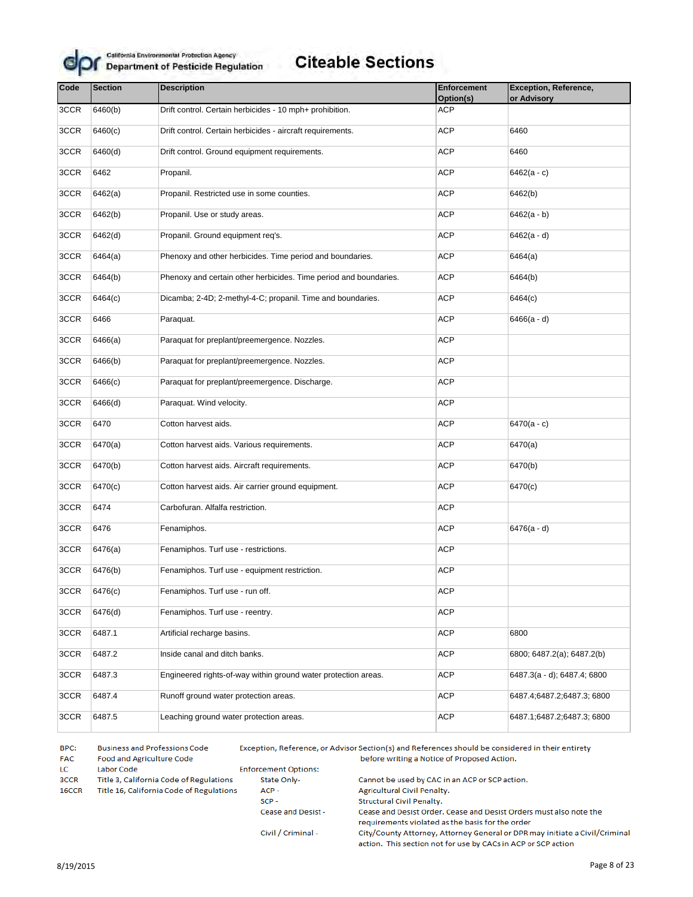

## **Citeable Sections**

| Code | <b>Section</b> | <b>Description</b>                                                | <b>Enforcement</b><br>Option(s) | <b>Exception, Reference,</b><br>or Advisory |
|------|----------------|-------------------------------------------------------------------|---------------------------------|---------------------------------------------|
| 3CCR | 6460(b)        | Drift control. Certain herbicides - 10 mph+ prohibition.          | <b>ACP</b>                      |                                             |
| 3CCR | 6460(c)        | Drift control. Certain herbicides - aircraft requirements.        | <b>ACP</b>                      | 6460                                        |
| 3CCR | 6460(d)        | Drift control. Ground equipment requirements.                     | <b>ACP</b>                      | 6460                                        |
| 3CCR | 6462           | Propanil.                                                         | <b>ACP</b>                      | $6462(a - c)$                               |
| 3CCR | 6462(a)        | Propanil. Restricted use in some counties.                        | <b>ACP</b>                      | 6462(b)                                     |
| 3CCR | 6462(b)        | Propanil. Use or study areas.                                     | <b>ACP</b>                      | $6462(a - b)$                               |
| 3CCR | 6462(d)        | Propanil. Ground equipment req's.                                 | <b>ACP</b>                      | $6462(a - d)$                               |
| 3CCR | 6464(a)        | Phenoxy and other herbicides. Time period and boundaries.         | <b>ACP</b>                      | 6464(a)                                     |
| 3CCR | 6464(b)        | Phenoxy and certain other herbicides. Time period and boundaries. | <b>ACP</b>                      | 6464(b)                                     |
| 3CCR | 6464(c)        | Dicamba; 2-4D; 2-methyl-4-C; propanil. Time and boundaries.       | <b>ACP</b>                      | 6464(c)                                     |
| 3CCR | 6466           | Paraquat.                                                         | <b>ACP</b>                      | $6466(a - d)$                               |
| 3CCR | 6466(a)        | Paraquat for preplant/preemergence. Nozzles.                      | <b>ACP</b>                      |                                             |
| 3CCR | 6466(b)        | Paraquat for preplant/preemergence. Nozzles.                      | ACP                             |                                             |
| 3CCR | 6466(c)        | Paraquat for preplant/preemergence. Discharge.                    | <b>ACP</b>                      |                                             |
| 3CCR | 6466(d)        | Paraquat. Wind velocity.                                          | <b>ACP</b>                      |                                             |
| 3CCR | 6470           | Cotton harvest aids.                                              | <b>ACP</b>                      | $6470(a - c)$                               |
| 3CCR | 6470(a)        | Cotton harvest aids. Various requirements.                        | <b>ACP</b>                      | 6470(a)                                     |
| 3CCR | 6470(b)        | Cotton harvest aids. Aircraft requirements.                       | <b>ACP</b>                      | 6470(b)                                     |
| 3CCR | 6470(c)        | Cotton harvest aids. Air carrier ground equipment.                | <b>ACP</b>                      | 6470(c)                                     |
| 3CCR | 6474           | Carbofuran. Alfalfa restriction.                                  | <b>ACP</b>                      |                                             |
| 3CCR | 6476           | Fenamiphos.                                                       | <b>ACP</b>                      | $6476(a - d)$                               |
| 3CCR | 6476(a)        | Fenamiphos. Turf use - restrictions.                              | <b>ACP</b>                      |                                             |
| 3CCR | 6476(b)        | Fenamiphos. Turf use - equipment restriction.                     | <b>ACP</b>                      |                                             |
| 3CCR | 6476(c)        | Fenamiphos. Turf use - run off.                                   | ACP                             |                                             |
| 3CCR | 6476(d)        | Fenamiphos. Turf use - reentry.                                   | <b>ACP</b>                      |                                             |
| 3CCR | 6487.1         | Artificial recharge basins.                                       | <b>ACP</b>                      | 6800                                        |
| 3CCR | 6487.2         | Inside canal and ditch banks.                                     | <b>ACP</b>                      | 6800; 6487.2(a); 6487.2(b)                  |
| 3CCR | 6487.3         | Engineered rights-of-way within ground water protection areas.    | <b>ACP</b>                      | 6487.3(a - d); 6487.4; 6800                 |
| 3CCR | 6487.4         | Runoff ground water protection areas.                             | <b>ACP</b>                      | 6487.4;6487.2;6487.3;6800                   |
| 3CCR | 6487.5         | Leaching ground water protection areas.                           | <b>ACP</b>                      | 6487.1;6487.2;6487.3;6800                   |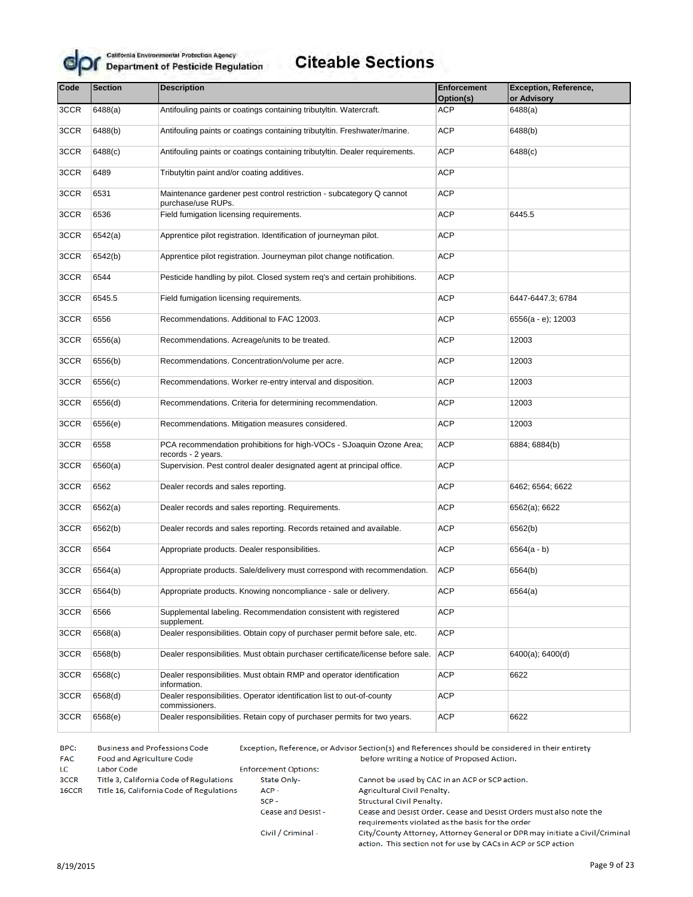

## **Citeable Sections**

| Code | <b>Section</b> | <b>Description</b>                                                                         | <b>Enforcement</b> | <b>Exception, Reference,</b> |
|------|----------------|--------------------------------------------------------------------------------------------|--------------------|------------------------------|
|      |                |                                                                                            | Option(s)          | or Advisory                  |
| 3CCR | 6488(a)        | Antifouling paints or coatings containing tributyltin. Watercraft.                         | <b>ACP</b>         | 6488(a)                      |
| 3CCR | 6488(b)        | Antifouling paints or coatings containing tributyltin. Freshwater/marine.                  | ACP                | 6488(b)                      |
| 3CCR | 6488(c)        | Antifouling paints or coatings containing tributyltin. Dealer requirements.                | <b>ACP</b>         | 6488(c)                      |
| 3CCR | 6489           | Tributyltin paint and/or coating additives.                                                | <b>ACP</b>         |                              |
| 3CCR | 6531           | Maintenance gardener pest control restriction - subcategory Q cannot<br>purchase/use RUPs. | <b>ACP</b>         |                              |
| 3CCR | 6536           | Field fumigation licensing requirements.                                                   | <b>ACP</b>         | 6445.5                       |
| 3CCR | 6542(a)        | Apprentice pilot registration. Identification of journeyman pilot.                         | <b>ACP</b>         |                              |
| 3CCR | 6542(b)        | Apprentice pilot registration. Journeyman pilot change notification.                       | <b>ACP</b>         |                              |
| 3CCR | 6544           | Pesticide handling by pilot. Closed system reg's and certain prohibitions.                 | <b>ACP</b>         |                              |
| 3CCR | 6545.5         | Field fumigation licensing requirements.                                                   | <b>ACP</b>         | 6447-6447.3; 6784            |
| 3CCR | 6556           | Recommendations. Additional to FAC 12003.                                                  | <b>ACP</b>         | 6556(a - e); 12003           |
| 3CCR | 6556(a)        | Recommendations. Acreage/units to be treated.                                              | <b>ACP</b>         | 12003                        |
| 3CCR | 6556(b)        | Recommendations. Concentration/volume per acre.                                            | <b>ACP</b>         | 12003                        |
| 3CCR | 6556(c)        | Recommendations. Worker re-entry interval and disposition.                                 | <b>ACP</b>         | 12003                        |
| 3CCR | 6556(d)        | Recommendations. Criteria for determining recommendation.                                  | <b>ACP</b>         | 12003                        |
| 3CCR | 6556(e)        | Recommendations. Mitigation measures considered.                                           | <b>ACP</b>         | 12003                        |
| 3CCR | 6558           | PCA recommendation prohibitions for high-VOCs - SJoaquin Ozone Area;<br>records - 2 years. | <b>ACP</b>         | 6884; 6884(b)                |
| 3CCR | 6560(a)        | Supervision. Pest control dealer designated agent at principal office.                     | <b>ACP</b>         |                              |
| 3CCR | 6562           | Dealer records and sales reporting.                                                        | <b>ACP</b>         | 6462; 6564; 6622             |
| 3CCR | 6562(a)        | Dealer records and sales reporting. Requirements.                                          | <b>ACP</b>         | 6562(a); 6622                |
| 3CCR | 6562(b)        | Dealer records and sales reporting. Records retained and available.                        | <b>ACP</b>         | 6562(b)                      |
| 3CCR | 6564           | Appropriate products. Dealer responsibilities.                                             | <b>ACP</b>         | $6564(a - b)$                |
| 3CCR | 6564(a)        | Appropriate products. Sale/delivery must correspond with recommendation.                   | ACP                | 6564(b)                      |
| 3CCR | 6564(b)        | Appropriate products. Knowing noncompliance - sale or delivery.                            | <b>ACP</b>         | 6564(a)                      |
| 3CCR | 6566           | Supplemental labeling. Recommendation consistent with registered<br>supplement.            | <b>ACP</b>         |                              |
| 3CCR | 6568(a)        | Dealer responsibilities. Obtain copy of purchaser permit before sale, etc.                 | <b>ACP</b>         |                              |
| 3CCR | 6568(b)        | Dealer responsibilities. Must obtain purchaser certificate/license before sale.            | <b>ACP</b>         | 6400(a); 6400(d)             |
| 3CCR | 6568(c)        | Dealer responsibilities. Must obtain RMP and operator identification<br>information.       | <b>ACP</b>         | 6622                         |
| 3CCR | 6568(d)        | Dealer responsibilities. Operator identification list to out-of-county<br>commissioners.   | <b>ACP</b>         |                              |
| 3CCR | 6568(e)        | Dealer responsibilities. Retain copy of purchaser permits for two years.                   | <b>ACP</b>         | 6622                         |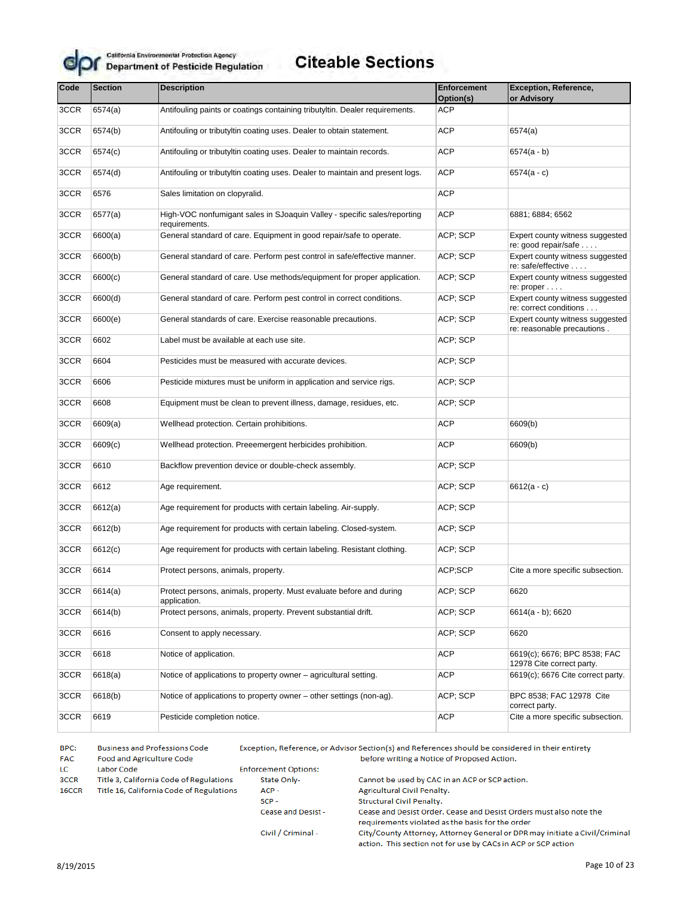

# **Citeable Sections**

| Code | <b>Section</b> | <b>Description</b>                                                                        | <b>Enforcement</b> | <b>Exception, Reference,</b>                                   |
|------|----------------|-------------------------------------------------------------------------------------------|--------------------|----------------------------------------------------------------|
|      |                |                                                                                           | Option(s)          | or Advisory                                                    |
| 3CCR | 6574(a)        | Antifouling paints or coatings containing tributyltin. Dealer requirements.               | ACP                |                                                                |
| 3CCR | 6574(b)        | Antifouling or tributyltin coating uses. Dealer to obtain statement.                      | <b>ACP</b>         | 6574(a)                                                        |
| 3CCR | 6574(c)        | Antifouling or tributyltin coating uses. Dealer to maintain records.                      | <b>ACP</b>         | $6574(a - b)$                                                  |
| 3CCR | 6574(d)        | Antifouling or tributyltin coating uses. Dealer to maintain and present logs.             | <b>ACP</b>         | $6574(a - c)$                                                  |
| 3CCR | 6576           | Sales limitation on clopyralid.                                                           | <b>ACP</b>         |                                                                |
| 3CCR | 6577(a)        | High-VOC nonfumigant sales in SJoaquin Valley - specific sales/reporting<br>requirements. | <b>ACP</b>         | 6881; 6884; 6562                                               |
| 3CCR | 6600(a)        | General standard of care. Equipment in good repair/safe to operate.                       | ACP; SCP           | Expert county witness suggested<br>re: good repair/safe        |
| 3CCR | 6600(b)        | General standard of care. Perform pest control in safe/effective manner.                  | ACP; SCP           | Expert county witness suggested<br>re: safe/effective          |
| 3CCR | 6600(c)        | General standard of care. Use methods/equipment for proper application.                   | ACP; SCP           | Expert county witness suggested<br>re: proper                  |
| 3CCR | 6600(d)        | General standard of care. Perform pest control in correct conditions.                     | ACP; SCP           | Expert county witness suggested<br>re: correct conditions      |
| 3CCR | 6600(e)        | General standards of care. Exercise reasonable precautions.                               | ACP; SCP           | Expert county witness suggested<br>re: reasonable precautions. |
| 3CCR | 6602           | Label must be available at each use site.                                                 | ACP; SCP           |                                                                |
| 3CCR | 6604           | Pesticides must be measured with accurate devices.                                        | ACP: SCP           |                                                                |
| 3CCR | 6606           | Pesticide mixtures must be uniform in application and service rigs.                       | ACP; SCP           |                                                                |
| 3CCR | 6608           | Equipment must be clean to prevent illness, damage, residues, etc.                        | ACP; SCP           |                                                                |
| 3CCR | 6609(a)        | Wellhead protection. Certain prohibitions.                                                | <b>ACP</b>         | 6609(b)                                                        |
| 3CCR | 6609(c)        | Wellhead protection. Preeemergent herbicides prohibition.                                 | <b>ACP</b>         | 6609(b)                                                        |
| 3CCR | 6610           | Backflow prevention device or double-check assembly.                                      | ACP; SCP           |                                                                |
| 3CCR | 6612           | Age requirement.                                                                          | ACP; SCP           | $6612(a - c)$                                                  |
| 3CCR | 6612(a)        | Age requirement for products with certain labeling. Air-supply.                           | ACP; SCP           |                                                                |
| 3CCR | 6612(b)        | Age requirement for products with certain labeling. Closed-system.                        | ACP; SCP           |                                                                |
| 3CCR | 6612(c)        | Age requirement for products with certain labeling. Resistant clothing.                   | ACP; SCP           |                                                                |
| 3CCR | 6614           | Protect persons, animals, property.                                                       | ACP;SCP            | Cite a more specific subsection.                               |
| 3CCR | 6614(a)        | Protect persons, animals, property. Must evaluate before and during<br>application.       | ACP; SCP           | 6620                                                           |
| 3CCR | 6614(b)        | Protect persons, animals, property. Prevent substantial drift.                            | ACP; SCP           | $6614(a - b)$ ; 6620                                           |
| 3CCR | 6616           | Consent to apply necessary.                                                               | ACP; SCP           | 6620                                                           |
| 3CCR | 6618           | Notice of application.                                                                    | <b>ACP</b>         | 6619(c); 6676; BPC 8538; FAC<br>12978 Cite correct party.      |
| 3CCR | 6618(a)        | Notice of applications to property owner – agricultural setting.                          | <b>ACP</b>         | 6619(c); 6676 Cite correct party.                              |
| 3CCR | 6618(b)        | Notice of applications to property owner – other settings (non-ag).                       | ACP; SCP           | BPC 8538; FAC 12978 Cite<br>correct party.                     |
| 3CCR | 6619           | Pesticide completion notice.                                                              | <b>ACP</b>         | Cite a more specific subsection.                               |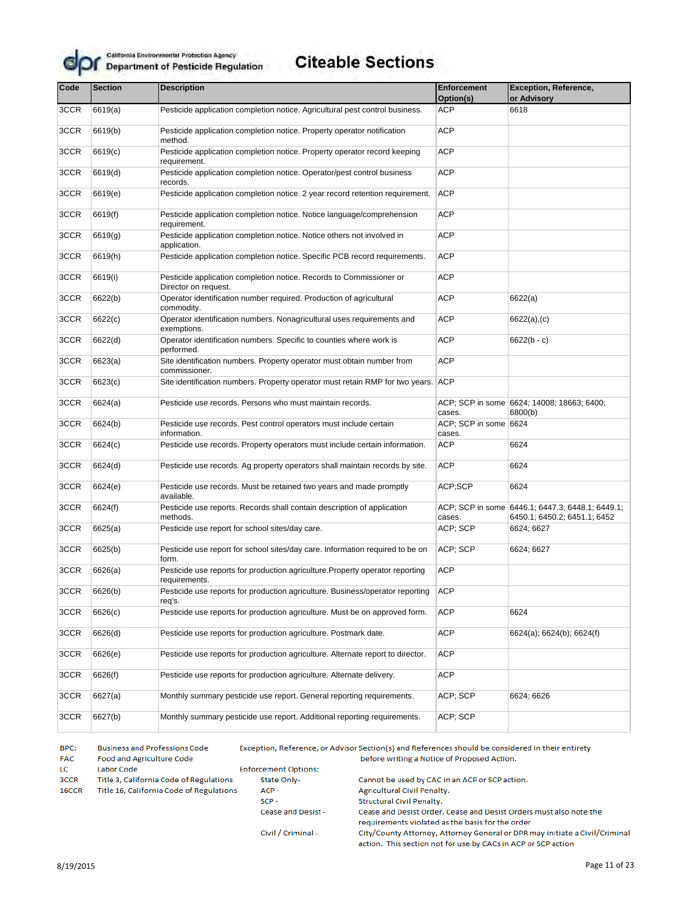

# **Citeable Sections**

| Code | <b>Section</b> | <b>Description</b>                                                                             | Enforcement<br>Option(s)        | <b>Exception, Reference,</b><br>or Advisory                                      |
|------|----------------|------------------------------------------------------------------------------------------------|---------------------------------|----------------------------------------------------------------------------------|
| 3CCR | 6619(a)        | Pesticide application completion notice. Agricultural pest control business.                   | <b>ACP</b>                      | 6618                                                                             |
|      |                |                                                                                                |                                 |                                                                                  |
| 3CCR | 6619(b)        | Pesticide application completion notice. Property operator notification<br>method.             | <b>ACP</b>                      |                                                                                  |
| 3CCR | 6619(c)        | Pesticide application completion notice. Property operator record keeping<br>requirement.      | <b>ACP</b>                      |                                                                                  |
| 3CCR | 6619(d)        | Pesticide application completion notice. Operator/pest control business<br>records.            | <b>ACP</b>                      |                                                                                  |
| 3CCR | 6619(e)        | Pesticide application completion notice. 2 year record retention requirement.                  | <b>ACP</b>                      |                                                                                  |
| 3CCR | 6619(f)        | Pesticide application completion notice. Notice language/comprehension<br>requirement.         | <b>ACP</b>                      |                                                                                  |
| 3CCR | 6619(g)        | Pesticide application completion notice. Notice others not involved in<br>application.         | <b>ACP</b>                      |                                                                                  |
| 3CCR | 6619(h)        | Pesticide application completion notice. Specific PCB record requirements.                     | <b>ACP</b>                      |                                                                                  |
| 3CCR | 6619(i)        | Pesticide application completion notice. Records to Commissioner or<br>Director on request.    | <b>ACP</b>                      |                                                                                  |
| 3CCR | 6622(b)        | Operator identification number required. Production of agricultural<br>commodity.              | <b>ACP</b>                      | 6622(a)                                                                          |
| 3CCR | 6622(c)        | Operator identification numbers. Nonagricultural uses requirements and<br>exemptions.          | <b>ACP</b>                      | $6622(a)$ , (c)                                                                  |
| 3CCR | 6622(d)        | Operator identification numbers. Specific to counties where work is<br>performed.              | <b>ACP</b>                      | $6622(b - c)$                                                                    |
| 3CCR | 6623(a)        | Site identification numbers. Property operator must obtain number from<br>commissioner.        | <b>ACP</b>                      |                                                                                  |
| 3CCR | 6623(c)        | Site identification numbers. Property operator must retain RMP for two years. ACP              |                                 |                                                                                  |
| 3CCR | 6624(a)        | Pesticide use records. Persons who must maintain records.                                      | cases.                          | ACP; SCP in some 6624; 14008; 18663; 6400;<br>6800(b)                            |
| 3CCR | 6624(b)        | Pesticide use records. Pest control operators must include certain<br>information.             | ACP; SCP in some 6624<br>cases. |                                                                                  |
| 3CCR | 6624(c)        | Pesticide use records. Property operators must include certain information.                    | <b>ACP</b>                      | 6624                                                                             |
| 3CCR | 6624(d)        | Pesticide use records. Ag property operators shall maintain records by site.                   | <b>ACP</b>                      | 6624                                                                             |
| 3CCR | 6624(e)        | Pesticide use records. Must be retained two years and made promptly<br>available.              | ACP;SCP                         | 6624                                                                             |
| 3CCR | 6624(f)        | Pesticide use reports. Records shall contain description of application<br>methods.            | cases.                          | ACP; SCP in some 6446.1; 6447.3; 6448.1; 6449.1;<br>6450.1; 6450.2; 6451.1; 6452 |
| 3CCR | 6625(a)        | Pesticide use report for school sites/day care.                                                | ACP; SCP                        | 6624; 6627                                                                       |
| 3CCR | 6625(b)        | Pesticide use report for school sites/day care. Information required to be on<br>form.         | ACP; SCP                        | 6624; 6627                                                                       |
| 3CCR | 6626(a)        | Pesticide use reports for production agriculture. Property operator reporting<br>requirements. | <b>ACP</b>                      |                                                                                  |
| 3CCR | 6626(b)        | Pesticide use reports for production agriculture. Business/operator reporting<br>req's.        | <b>ACP</b>                      |                                                                                  |
| 3CCR | 6626(c)        | Pesticide use reports for production agriculture. Must be on approved form.                    | <b>ACP</b>                      | 6624                                                                             |
| 3CCR | 6626(d)        | Pesticide use reports for production agriculture. Postmark date.                               | <b>ACP</b>                      | 6624(a); 6624(b); 6624(f)                                                        |
| 3CCR | 6626(e)        | Pesticide use reports for production agriculture. Alternate report to director.                | <b>ACP</b>                      |                                                                                  |
| 3CCR | 6626(f)        | Pesticide use reports for production agriculture. Alternate delivery.                          | ACP                             |                                                                                  |
| 3CCR | 6627(a)        | Monthly summary pesticide use report. General reporting requirements.                          | ACP; SCP                        | 6624; 6626                                                                       |
| 3CCR | 6627(b)        | Monthly summary pesticide use report. Additional reporting requirements.                       | ACP; SCP                        |                                                                                  |

BPC: **Business and Professions Code** Exception, Reference, or Advisor Section(s) and References should be considered in their entirety **FAC** Food and Agriculture Code before writing a Notice of Proposed Action. **Enforcement Options:** LC. Labor Code 3CCR Title 3, California Code of Regulations State Only-Cannot be used by CAC in an ACP or SCP action. ACP-16CCR Title 16, California Code of Regulations Agricultural Civil Penalty.  $SCP -$ Structural Civil Penalty. Cease and Desist -Cease and Desist Order. Cease and Desist Orders must also note the requirements violated as the basis for the order City/County Attorney, Attorney General or DPR may initiate a Civil/Criminal Civil / Criminal -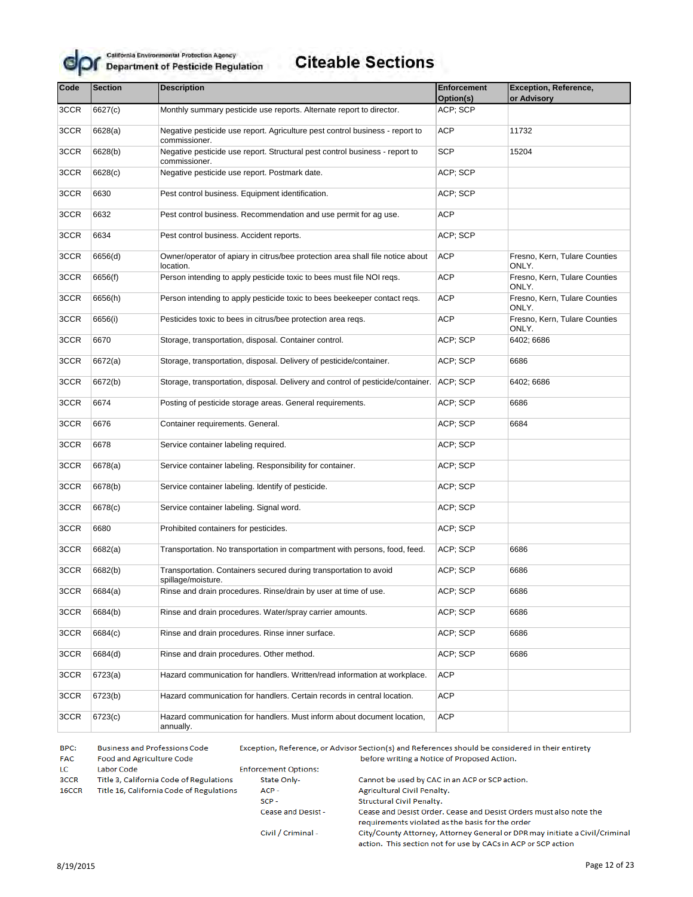

## **Citeable Sections**

| Code | <b>Section</b> | <b>Description</b>                                                                            | <b>Enforcement</b><br>Option(s) | <b>Exception, Reference,</b><br>or Advisory |
|------|----------------|-----------------------------------------------------------------------------------------------|---------------------------------|---------------------------------------------|
| 3CCR | 6627(c)        | Monthly summary pesticide use reports. Alternate report to director.                          | ACP; SCP                        |                                             |
| 3CCR | 6628(a)        | Negative pesticide use report. Agriculture pest control business - report to<br>commissioner. | <b>ACP</b>                      | 11732                                       |
| 3CCR | 6628(b)        | Negative pesticide use report. Structural pest control business - report to<br>commissioner.  | <b>SCP</b>                      | 15204                                       |
| 3CCR | 6628(c)        | Negative pesticide use report. Postmark date.                                                 | ACP; SCP                        |                                             |
| 3CCR | 6630           | Pest control business. Equipment identification.                                              | ACP; SCP                        |                                             |
| 3CCR | 6632           | Pest control business. Recommendation and use permit for ag use.                              | <b>ACP</b>                      |                                             |
| 3CCR | 6634           | Pest control business. Accident reports.                                                      | ACP; SCP                        |                                             |
| 3CCR | 6656(d)        | Owner/operator of apiary in citrus/bee protection area shall file notice about<br>location.   | ACP                             | Fresno, Kern, Tulare Counties<br>ONLY.      |
| 3CCR | 6656(f)        | Person intending to apply pesticide toxic to bees must file NOI regs.                         | <b>ACP</b>                      | Fresno, Kern, Tulare Counties<br>ONLY.      |
| 3CCR | 6656(h)        | Person intending to apply pesticide toxic to bees beekeeper contact regs.                     | <b>ACP</b>                      | Fresno, Kern, Tulare Counties<br>ONLY.      |
| 3CCR | 6656(i)        | Pesticides toxic to bees in citrus/bee protection area regs.                                  | <b>ACP</b>                      | Fresno, Kern, Tulare Counties<br>ONLY.      |
| 3CCR | 6670           | Storage, transportation, disposal. Container control.                                         | ACP; SCP                        | 6402; 6686                                  |
| 3CCR | 6672(a)        | Storage, transportation, disposal. Delivery of pesticide/container.                           | ACP; SCP                        | 6686                                        |
| 3CCR | 6672(b)        | Storage, transportation, disposal. Delivery and control of pesticide/container.               | ACP; SCP                        | 6402; 6686                                  |
| 3CCR | 6674           | Posting of pesticide storage areas. General requirements.                                     | ACP; SCP                        | 6686                                        |
| 3CCR | 6676           | Container requirements. General.                                                              | ACP; SCP                        | 6684                                        |
| 3CCR | 6678           | Service container labeling required.                                                          | ACP; SCP                        |                                             |
| 3CCR | 6678(a)        | Service container labeling. Responsibility for container.                                     | ACP; SCP                        |                                             |
| 3CCR | 6678(b)        | Service container labeling. Identify of pesticide.                                            | ACP; SCP                        |                                             |
| 3CCR | 6678(c)        | Service container labeling. Signal word.                                                      | ACP; SCP                        |                                             |
| 3CCR | 6680           | Prohibited containers for pesticides.                                                         | ACP; SCP                        |                                             |
| 3CCR | 6682(a)        | Transportation. No transportation in compartment with persons, food, feed.                    | ACP; SCP                        | 6686                                        |
| 3CCR | 6682(b)        | Transportation. Containers secured during transportation to avoid<br>spillage/moisture.       | ACP; SCP                        | 6686                                        |
| 3CCR | 6684(a)        | Rinse and drain procedures. Rinse/drain by user at time of use.                               | ACP; SCP                        | 6686                                        |
| 3CCR | 6684(b)        | Rinse and drain procedures. Water/spray carrier amounts.                                      | ACP; SCP                        | 6686                                        |
| 3CCR | 6684(c)        | Rinse and drain procedures. Rinse inner surface.                                              | ACP; SCP                        | 6686                                        |
| 3CCR | 6684(d)        | Rinse and drain procedures. Other method.                                                     | ACP; SCP                        | 6686                                        |
| 3CCR | 6723(a)        | Hazard communication for handlers. Written/read information at workplace.                     | <b>ACP</b>                      |                                             |
| 3CCR | 6723(b)        | Hazard communication for handlers. Certain records in central location.                       | ACP                             |                                             |
| 3CCR | 6723(c)        | Hazard communication for handlers. Must inform about document location,<br>annually.          | ACP                             |                                             |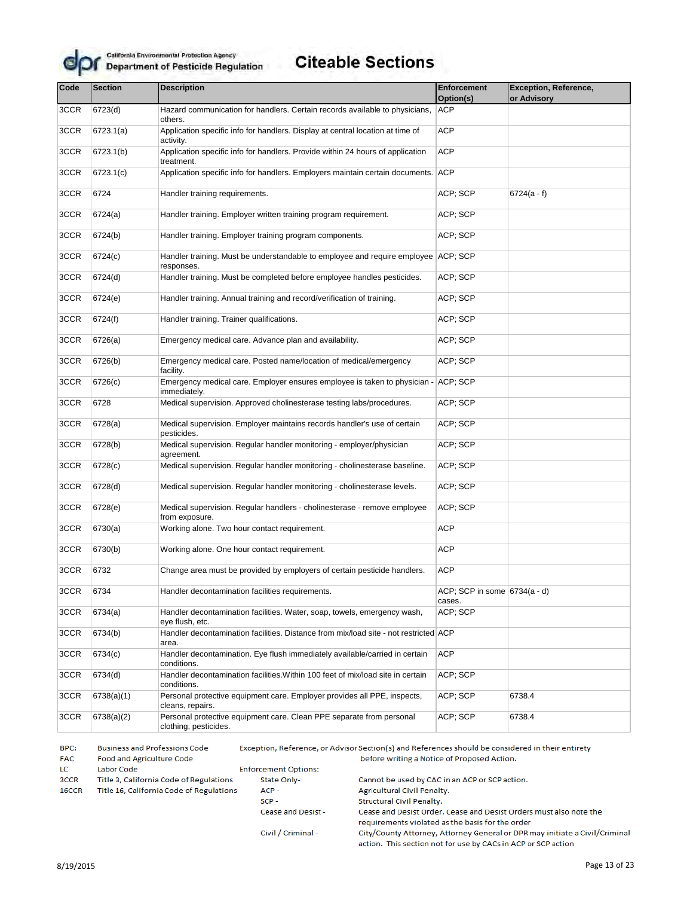

| Code<br><b>Section</b><br><b>Description</b> |            |                                                                                                       | Enforcement                            | Exception, Reference, |  |
|----------------------------------------------|------------|-------------------------------------------------------------------------------------------------------|----------------------------------------|-----------------------|--|
|                                              |            |                                                                                                       | Option(s)                              | or Advisory           |  |
| 3CCR                                         | 6723(d)    | Hazard communication for handlers. Certain records available to physicians,<br>others.                | <b>ACP</b>                             |                       |  |
| 3CCR                                         | 6723.1(a)  | Application specific info for handlers. Display at central location at time of<br>activity.           | <b>ACP</b>                             |                       |  |
| 3CCR                                         | 6723.1(b)  | Application specific info for handlers. Provide within 24 hours of application<br>treatment.          | ACP                                    |                       |  |
| 3CCR                                         | 6723.1(c)  | Application specific info for handlers. Employers maintain certain documents. ACP                     |                                        |                       |  |
| 3CCR                                         | 6724       | Handler training requirements.                                                                        | ACP; SCP                               | $6724(a - f)$         |  |
| 3CCR                                         | 6724(a)    | Handler training. Employer written training program requirement.                                      | ACP; SCP                               |                       |  |
| 3CCR                                         | 6724(b)    | Handler training. Employer training program components.                                               | ACP; SCP                               |                       |  |
| 3CCR                                         | 6724(c)    | Handler training. Must be understandable to employee and require employee ACP; SCP<br>responses.      |                                        |                       |  |
| 3CCR                                         | 6724(d)    | Handler training. Must be completed before employee handles pesticides.                               | ACP; SCP                               |                       |  |
| 3CCR                                         | 6724(e)    | Handler training. Annual training and record/verification of training.                                | ACP; SCP                               |                       |  |
| 3CCR                                         | 6724(f)    | Handler training. Trainer qualifications.                                                             | ACP; SCP                               |                       |  |
| 3CCR                                         | 6726(a)    | ACP; SCP<br>Emergency medical care. Advance plan and availability.                                    |                                        |                       |  |
| 3CCR                                         | 6726(b)    | Emergency medical care. Posted name/location of medical/emergency<br>ACP; SCP<br>facility.            |                                        |                       |  |
| 3CCR                                         | 6726(c)    | ACP; SCP<br>Emergency medical care. Employer ensures employee is taken to physician -<br>immediately. |                                        |                       |  |
| 3CCR                                         | 6728       | Medical supervision. Approved cholinesterase testing labs/procedures.                                 |                                        |                       |  |
| 3CCR                                         | 6728(a)    | Medical supervision. Employer maintains records handler's use of certain<br>pesticides.               | ACP; SCP                               |                       |  |
| 3CCR                                         | 6728(b)    | Medical supervision. Regular handler monitoring - employer/physician<br>agreement.                    | ACP; SCP                               |                       |  |
| 3CCR                                         | 6728(c)    | Medical supervision. Regular handler monitoring - cholinesterase baseline.                            | ACP; SCP                               |                       |  |
| 3CCR                                         | 6728(d)    | Medical supervision. Regular handler monitoring - cholinesterase levels.                              | ACP; SCP                               |                       |  |
| 3CCR                                         | 6728(e)    | Medical supervision. Regular handlers - cholinesterase - remove employee<br>from exposure.            | ACP; SCP                               |                       |  |
| 3CCR                                         | 6730(a)    | Working alone. Two hour contact requirement.                                                          | <b>ACP</b>                             |                       |  |
| 3CCR                                         | 6730(b)    | Working alone. One hour contact requirement.                                                          | <b>ACP</b>                             |                       |  |
| 3CCR                                         | 6732       | Change area must be provided by employers of certain pesticide handlers.                              | <b>ACP</b>                             |                       |  |
| 3CCR                                         | 6734       | Handler decontamination facilities requirements.                                                      | ACP; SCP in some 6734(a - d)<br>cases. |                       |  |
| 3CCR                                         | 6734(a)    | Handler decontamination facilities. Water, soap, towels, emergency wash,<br>eye flush, etc.           | ACP; SCP                               |                       |  |
| 3CCR                                         | 6734(b)    | Handler decontamination facilities. Distance from mix/load site - not restricted ACP<br>area.         |                                        |                       |  |
| 3CCR                                         | 6734(c)    | Handler decontamination. Eye flush immediately available/carried in certain<br>conditions.            | <b>ACP</b>                             |                       |  |
| 3CCR                                         | 6734(d)    | Handler decontamination facilities. Within 100 feet of mix/load site in certain<br>conditions.        | ACP; SCP                               |                       |  |
| 3CCR                                         | 6738(a)(1) | Personal protective equipment care. Employer provides all PPE, inspects,<br>cleans, repairs.          | ACP; SCP                               | 6738.4                |  |
| 3CCR                                         | 6738(a)(2) | Personal protective equipment care. Clean PPE separate from personal<br>clothing, pesticides.         | ACP; SCP                               | 6738.4                |  |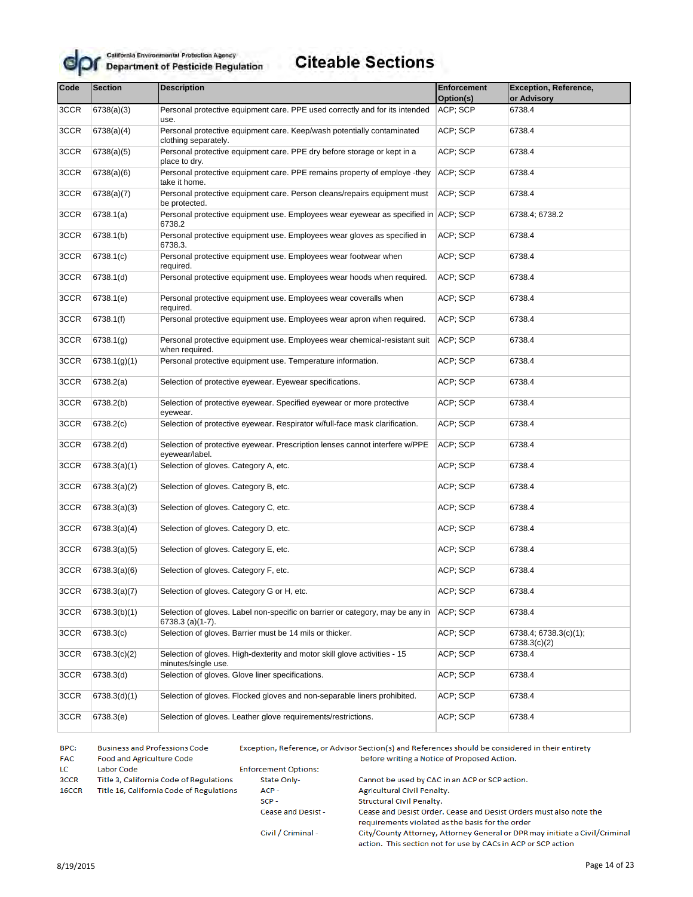

# **Citeable Sections**

| Code | <b>Section</b> | <b>Description</b>                                                                                | <b>Enforcement</b><br>Option(s) | <b>Exception, Reference,</b><br>or Advisory |
|------|----------------|---------------------------------------------------------------------------------------------------|---------------------------------|---------------------------------------------|
| 3CCR | 6738(a)(3)     | Personal protective equipment care. PPE used correctly and for its intended                       | ACP; SCP                        | 6738.4                                      |
|      |                | use.                                                                                              |                                 |                                             |
| 3CCR | 6738(a)(4)     | Personal protective equipment care. Keep/wash potentially contaminated<br>clothing separately.    | ACP; SCP                        | 6738.4                                      |
| 3CCR | 6738(a)(5)     | Personal protective equipment care. PPE dry before storage or kept in a<br>place to dry.          | ACP; SCP                        | 6738.4                                      |
| 3CCR | 6738(a)(6)     | Personal protective equipment care. PPE remains property of employe -they<br>take it home.        | ACP; SCP                        | 6738.4                                      |
| 3CCR | 6738(a)(7)     | Personal protective equipment care. Person cleans/repairs equipment must<br>be protected.         | ACP; SCP                        | 6738.4                                      |
| 3CCR | 6738.1(a)      | Personal protective equipment use. Employees wear eyewear as specified in ACP; SCP<br>6738.2      |                                 | 6738.4; 6738.2                              |
| 3CCR | 6738.1(b)      | Personal protective equipment use. Employees wear gloves as specified in<br>6738.3.               | ACP; SCP                        | 6738.4                                      |
| 3CCR | 6738.1(c)      | Personal protective equipment use. Employees wear footwear when<br>required.                      | ACP; SCP                        | 6738.4                                      |
| 3CCR | 6738.1(d)      | Personal protective equipment use. Employees wear hoods when required.                            | ACP; SCP                        | 6738.4                                      |
| 3CCR | 6738.1(e)      | Personal protective equipment use. Employees wear coveralls when<br>required.                     | ACP; SCP                        | 6738.4                                      |
| 3CCR | 6738.1(f)      | Personal protective equipment use. Employees wear apron when required.                            | ACP; SCP                        | 6738.4                                      |
| 3CCR | 6738.1(g)      | Personal protective equipment use. Employees wear chemical-resistant suit<br>when required.       | ACP; SCP                        | 6738.4                                      |
| 3CCR | 6738.1(g)(1)   | Personal protective equipment use. Temperature information.                                       | ACP; SCP                        | 6738.4                                      |
| 3CCR | 6738.2(a)      | Selection of protective eyewear. Eyewear specifications.                                          | ACP; SCP                        | 6738.4                                      |
| 3CCR | 6738.2(b)      | Selection of protective eyewear. Specified eyewear or more protective<br>eyewear.                 | ACP; SCP                        | 6738.4                                      |
| 3CCR | 6738.2(c)      | Selection of protective eyewear. Respirator w/full-face mask clarification.                       | ACP; SCP                        | 6738.4                                      |
| 3CCR | 6738.2(d)      | Selection of protective eyewear. Prescription lenses cannot interfere w/PPE<br>eyewear/label.     | ACP; SCP                        | 6738.4                                      |
| 3CCR | 6738.3(a)(1)   | Selection of gloves. Category A, etc.                                                             | ACP; SCP                        | 6738.4                                      |
| 3CCR | 6738.3(a)(2)   | Selection of gloves. Category B, etc.                                                             | ACP; SCP                        | 6738.4                                      |
| 3CCR | 6738.3(a)(3)   | Selection of gloves. Category C, etc.                                                             | ACP; SCP                        | 6738.4                                      |
| 3CCR | 6738.3(a)(4)   | Selection of gloves. Category D, etc.                                                             | ACP; SCP                        | 6738.4                                      |
| 3CCR | 6738.3(a)(5)   | Selection of gloves. Category E, etc.                                                             | ACP; SCP                        | 6738.4                                      |
| 3CCR | 6738.3(a)(6)   | Selection of gloves. Category F, etc.                                                             | ACP; SCP                        | 6738.4                                      |
| 3CCR | 6738.3(a)(7)   | Selection of gloves. Category G or H, etc.                                                        | ACP; SCP                        | 6738.4                                      |
| 3CCR | 6738.3(b)(1)   | Selection of gloves. Label non-specific on barrier or category, may be any in<br>6738.3 (a)(1-7). | ACP; SCP                        | 6738.4                                      |
| 3CCR | 6738.3(c)      | Selection of gloves. Barrier must be 14 mils or thicker.                                          | ACP; SCP                        | 6738.4; 6738.3(c)(1);<br>6738.3(c)(2)       |
| 3CCR | 6738.3(c)(2)   | Selection of gloves. High-dexterity and motor skill glove activities - 15<br>minutes/single use.  | ACP; SCP                        | 6738.4                                      |
| 3CCR | 6738.3(d)      | Selection of gloves. Glove liner specifications.                                                  | ACP; SCP                        | 6738.4                                      |
| 3CCR | 6738.3(d)(1)   | Selection of gloves. Flocked gloves and non-separable liners prohibited.                          | ACP; SCP                        | 6738.4                                      |
| 3CCR | 6738.3(e)      | Selection of gloves. Leather glove requirements/restrictions.                                     | ACP; SCP                        | 6738.4                                      |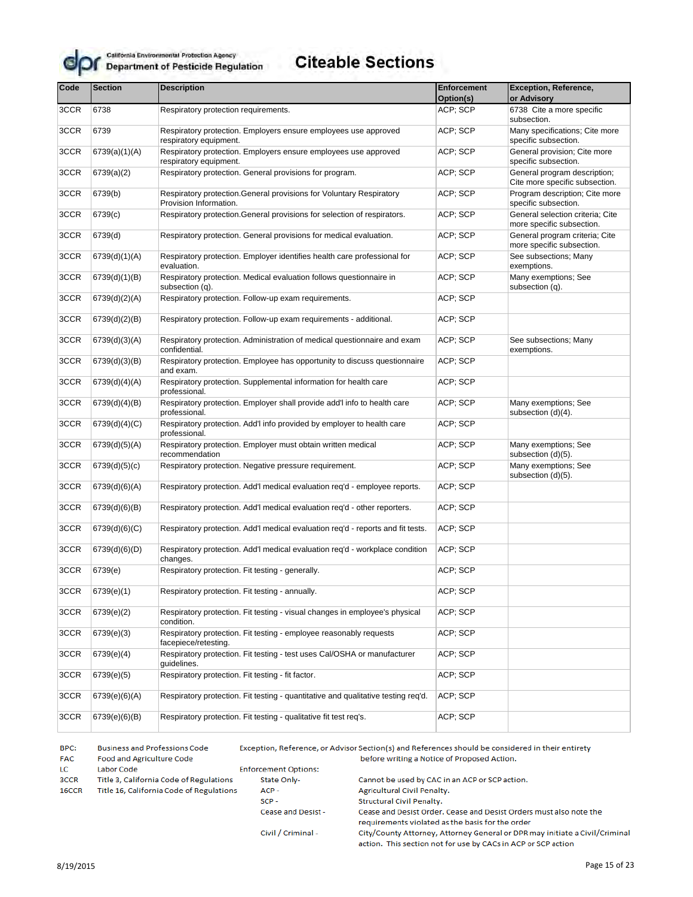

# **Citeable Sections**

| Code                                                                                                               | <b>Section</b>                                                                                           | <b>Description</b>                                                                             | Enforcement                          | <b>Exception, Reference,</b>                                   |  |
|--------------------------------------------------------------------------------------------------------------------|----------------------------------------------------------------------------------------------------------|------------------------------------------------------------------------------------------------|--------------------------------------|----------------------------------------------------------------|--|
|                                                                                                                    |                                                                                                          |                                                                                                | Option(s)                            | or Advisory                                                    |  |
| 3CCR                                                                                                               | 6738                                                                                                     | Respiratory protection requirements.                                                           | ACP; SCP                             | 6738 Cite a more specific<br>subsection.                       |  |
| 3CCR                                                                                                               | 6739                                                                                                     | Respiratory protection. Employers ensure employees use approved<br>respiratory equipment.      | ACP; SCP                             | Many specifications; Cite more<br>specific subsection.         |  |
| 3CCR                                                                                                               | 6739(a)(1)(A)                                                                                            | Respiratory protection. Employers ensure employees use approved<br>respiratory equipment.      | ACP; SCP                             | General provision; Cite more<br>specific subsection.           |  |
| 3CCR                                                                                                               | 6739(a)(2)                                                                                               | Respiratory protection. General provisions for program.                                        | ACP; SCP                             | General program description;<br>Cite more specific subsection. |  |
| 3CCR                                                                                                               | 6739(b)                                                                                                  | Respiratory protection. General provisions for Voluntary Respiratory<br>Provision Information. | ACP; SCP                             | Program description; Cite more<br>specific subsection.         |  |
| 3CCR                                                                                                               | 6739(c)                                                                                                  | Respiratory protection. General provisions for selection of respirators.                       | ACP; SCP                             | General selection criteria; Cite<br>more specific subsection.  |  |
| 3CCR                                                                                                               | 6739(d)                                                                                                  | Respiratory protection. General provisions for medical evaluation.                             | ACP; SCP                             | General program criteria; Cite<br>more specific subsection.    |  |
| 3CCR                                                                                                               | 6739(d)(1)(A)                                                                                            | Respiratory protection. Employer identifies health care professional for<br>evaluation.        | ACP; SCP                             | See subsections; Many<br>exemptions.                           |  |
| 3CCR                                                                                                               | 6739(d)(1)(B)                                                                                            | Respiratory protection. Medical evaluation follows questionnaire in<br>subsection (q).         | ACP; SCP                             | Many exemptions; See<br>subsection (q).                        |  |
| 3CCR                                                                                                               | 6739(d)(2)(A)                                                                                            | Respiratory protection. Follow-up exam requirements.                                           | ACP; SCP                             |                                                                |  |
| 3CCR                                                                                                               | 6739(d)(2)(B)                                                                                            | Respiratory protection. Follow-up exam requirements - additional.                              | ACP; SCP                             |                                                                |  |
| 3CCR<br>6739(d)(3)(A)<br>Respiratory protection. Administration of medical questionnaire and exam<br>confidential. |                                                                                                          | ACP; SCP                                                                                       | See subsections; Many<br>exemptions. |                                                                |  |
| 3CCR                                                                                                               | 6739(d)(3)(B)                                                                                            | Respiratory protection. Employee has opportunity to discuss questionnaire<br>and exam.         | ACP; SCP                             |                                                                |  |
| 3CCR                                                                                                               | 6739(d)(4)(A)                                                                                            | Respiratory protection. Supplemental information for health care<br>professional.              | ACP; SCP                             |                                                                |  |
| 3CCR                                                                                                               | 6739(d)(4)(B)                                                                                            | Respiratory protection. Employer shall provide add'l info to health care<br>professional.      | ACP; SCP                             | Many exemptions; See<br>subsection (d)(4).                     |  |
| 3CCR                                                                                                               | 6739(d)(4)(C)<br>Respiratory protection. Add'l info provided by employer to health care<br>professional. |                                                                                                | ACP; SCP                             |                                                                |  |
| 3CCR                                                                                                               | 6739(d)(5)(A)                                                                                            | Respiratory protection. Employer must obtain written medical<br>recommendation                 |                                      | Many exemptions; See<br>subsection (d)(5).                     |  |
| 3CCR                                                                                                               | 6739(d)(5)(c)                                                                                            | Respiratory protection. Negative pressure requirement.                                         | ACP; SCP                             | Many exemptions; See<br>subsection (d)(5).                     |  |
| 3CCR                                                                                                               | 6739(d)(6)(A)                                                                                            | Respiratory protection. Add'l medical evaluation req'd - employee reports.                     | ACP; SCP                             |                                                                |  |
| 3CCR                                                                                                               | 6739(d)(6)(B)                                                                                            | Respiratory protection. Add'l medical evaluation req'd - other reporters.                      | ACP; SCP                             |                                                                |  |
| 3CCR                                                                                                               | 6739(d)(6)(C)                                                                                            | Respiratory protection. Add'l medical evaluation req'd - reports and fit tests.                | ACP; SCP                             |                                                                |  |
| 3CCR                                                                                                               | 6739(d)(6)(D)                                                                                            | Respiratory protection. Add'l medical evaluation reg'd - workplace condition<br>changes.       | ACP; SCP                             |                                                                |  |
| 3CCR                                                                                                               | 6739(e)                                                                                                  | Respiratory protection. Fit testing - generally.                                               | ACP; SCP                             |                                                                |  |
| 3CCR                                                                                                               | 6739(e)(1)                                                                                               | Respiratory protection. Fit testing - annually.                                                | ACP; SCP                             |                                                                |  |
| 3CCR                                                                                                               | 6739(e)(2)                                                                                               | Respiratory protection. Fit testing - visual changes in employee's physical<br>condition.      | ACP; SCP                             |                                                                |  |
| 3CCR                                                                                                               | 6739(e)(3)                                                                                               | Respiratory protection. Fit testing - employee reasonably requests<br>facepiece/retesting.     | ACP; SCP                             |                                                                |  |
| 3CCR                                                                                                               | 6739(e)(4)                                                                                               | Respiratory protection. Fit testing - test uses Cal/OSHA or manufacturer<br>quidelines.        | ACP; SCP                             |                                                                |  |
| 3CCR                                                                                                               | 6739(e)(5)                                                                                               | Respiratory protection. Fit testing - fit factor.                                              | ACP; SCP                             |                                                                |  |
| 3CCR                                                                                                               | 6739(e)(6)(A)                                                                                            | Respiratory protection. Fit testing - quantitative and qualitative testing req'd.              | ACP; SCP                             |                                                                |  |
| 3CCR                                                                                                               | 6739(e)(6)(B)                                                                                            | Respiratory protection. Fit testing - qualitative fit test req's.                              | ACP; SCP                             |                                                                |  |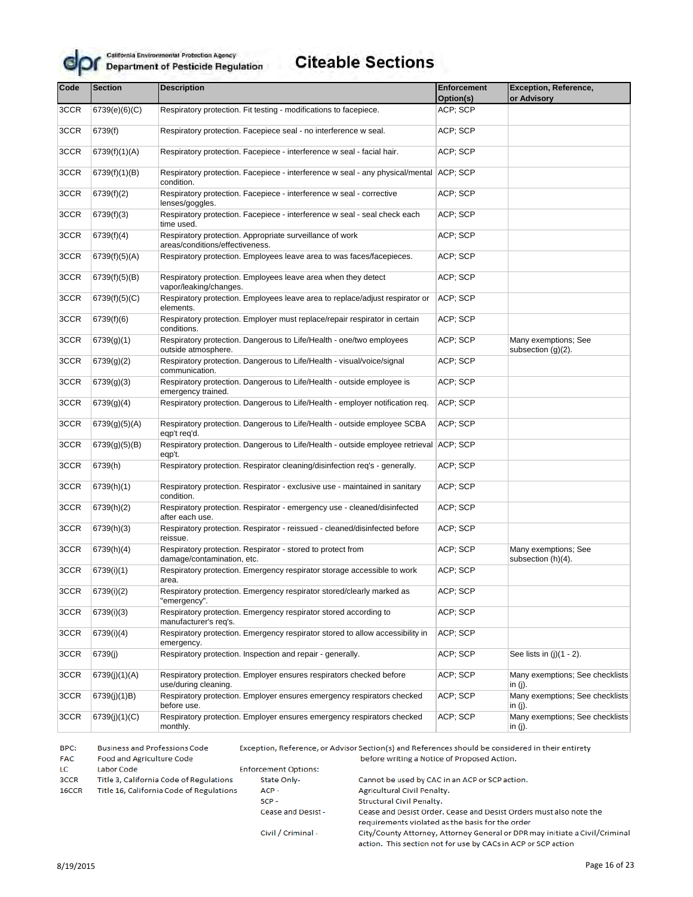

#### **Citeable Sections**

| Code | <b>Section</b>                                                                                         | <b>Description</b>                                                                                   | <b>Enforcement</b><br>Option(s) | <b>Exception, Reference,</b><br>or Advisory   |
|------|--------------------------------------------------------------------------------------------------------|------------------------------------------------------------------------------------------------------|---------------------------------|-----------------------------------------------|
| 3CCR | 6739(e)(6)(C)                                                                                          | Respiratory protection. Fit testing - modifications to facepiece.                                    | ACP; SCP                        |                                               |
| 3CCR | 6739(f)                                                                                                | Respiratory protection. Facepiece seal - no interference w seal.                                     | ACP; SCP                        |                                               |
| 3CCR | 6739(f)(1)(A)                                                                                          | Respiratory protection. Facepiece - interference w seal - facial hair.                               | ACP; SCP                        |                                               |
| 3CCR | 6739(f)(1)(B)                                                                                          | Respiratory protection. Facepiece - interference w seal - any physical/mental ACP; SCP<br>condition. |                                 |                                               |
| 3CCR | 6739(f)(2)                                                                                             | Respiratory protection. Facepiece - interference w seal - corrective<br>lenses/goggles.              | ACP; SCP                        |                                               |
| 3CCR | 6739(f)(3)                                                                                             | Respiratory protection. Facepiece - interference w seal - seal check each<br>time used.              | ACP; SCP                        |                                               |
| 3CCR | 6739(f)(4)                                                                                             | Respiratory protection. Appropriate surveillance of work<br>areas/conditions/effectiveness.          | ACP; SCP                        |                                               |
| 3CCR | 6739(f)(5)(A)                                                                                          | Respiratory protection. Employees leave area to was faces/facepieces.                                | ACP; SCP                        |                                               |
| 3CCR | 6739(f)(5)(B)                                                                                          | Respiratory protection. Employees leave area when they detect<br>vapor/leaking/changes.              | ACP; SCP                        |                                               |
| 3CCR | 6739(f)(5)(C)                                                                                          | Respiratory protection. Employees leave area to replace/adjust respirator or<br>elements.            | ACP; SCP                        |                                               |
| 3CCR | 6739(f)(6)                                                                                             | Respiratory protection. Employer must replace/repair respirator in certain<br>conditions.            | ACP; SCP                        |                                               |
| 3CCR | 6739(g)(1)                                                                                             | Respiratory protection. Dangerous to Life/Health - one/two employees<br>outside atmosphere.          | ACP; SCP                        | Many exemptions; See<br>subsection $(g)(2)$ . |
| 3CCR | Respiratory protection. Dangerous to Life/Health - visual/voice/signal<br>6739(g)(2)<br>communication. |                                                                                                      | ACP; SCP                        |                                               |
| 3CCR | 6739(g)(3)                                                                                             | Respiratory protection. Dangerous to Life/Health - outside employee is<br>emergency trained.         |                                 |                                               |
| 3CCR | 6739(g)(4)                                                                                             | Respiratory protection. Dangerous to Life/Health - employer notification req.                        |                                 |                                               |
| 3CCR | 6739(g)(5)(A)                                                                                          | Respiratory protection. Dangerous to Life/Health - outside employee SCBA<br>eqp't req'd.             | ACP; SCP                        |                                               |
| 3CCR | 6739(g)(5)(B)                                                                                          | Respiratory protection. Dangerous to Life/Health - outside employee retrieval ACP; SCP<br>eqp't.     |                                 |                                               |
| 3CCR | 6739(h)                                                                                                | Respiratory protection. Respirator cleaning/disinfection req's - generally.                          | ACP; SCP                        |                                               |
| 3CCR | 6739(h)(1)                                                                                             | Respiratory protection. Respirator - exclusive use - maintained in sanitary<br>condition.            | ACP; SCP                        |                                               |
| 3CCR | 6739(h)(2)                                                                                             | Respiratory protection. Respirator - emergency use - cleaned/disinfected<br>after each use.          | ACP; SCP                        |                                               |
| 3CCR | 6739(h)(3)                                                                                             | Respiratory protection. Respirator - reissued - cleaned/disinfected before<br>reissue.               | ACP; SCP                        |                                               |
| 3CCR | 6739(h)(4)                                                                                             | Respiratory protection. Respirator - stored to protect from<br>damage/contamination, etc.            | ACP; SCP                        | Many exemptions; See<br>subsection (h)(4).    |
| 3CCR | 6739(i)(1)                                                                                             | Respiratory protection. Emergency respirator storage accessible to work<br>area.                     | ACP; SCP                        |                                               |
| 3CCR | 6739(i)(2)                                                                                             | Respiratory protection. Emergency respirator stored/clearly marked as<br>"emergency".                | ACP; SCP                        |                                               |
| 3CCR | 6739(i)(3)                                                                                             | Respiratory protection. Emergency respirator stored according to<br>manufacturer's req's.            | ACP; SCP                        |                                               |
| 3CCR | 6739(i)(4)                                                                                             | Respiratory protection. Emergency respirator stored to allow accessibility in<br>emergency.          | ACP; SCP                        |                                               |
| 3CCR | 6739(j)                                                                                                | Respiratory protection. Inspection and repair - generally.                                           | ACP; SCP                        | See lists in $(i)(1 - 2)$ .                   |
| 3CCR | 6739(j)(1)(A)                                                                                          | Respiratory protection. Employer ensures respirators checked before<br>use/during cleaning.          | ACP; SCP                        | Many exemptions; See checklists<br>in (j).    |
| 3CCR | 6739(j)(1)B)                                                                                           | Respiratory protection. Employer ensures emergency respirators checked<br>before use.                | ACP; SCP                        | Many exemptions; See checklists<br>in $(i)$ . |
| 3CCR | 6739(j)(1)(C)                                                                                          | Respiratory protection. Employer ensures emergency respirators checked<br>monthly.                   | ACP; SCP                        | Many exemptions; See checklists<br>in (j).    |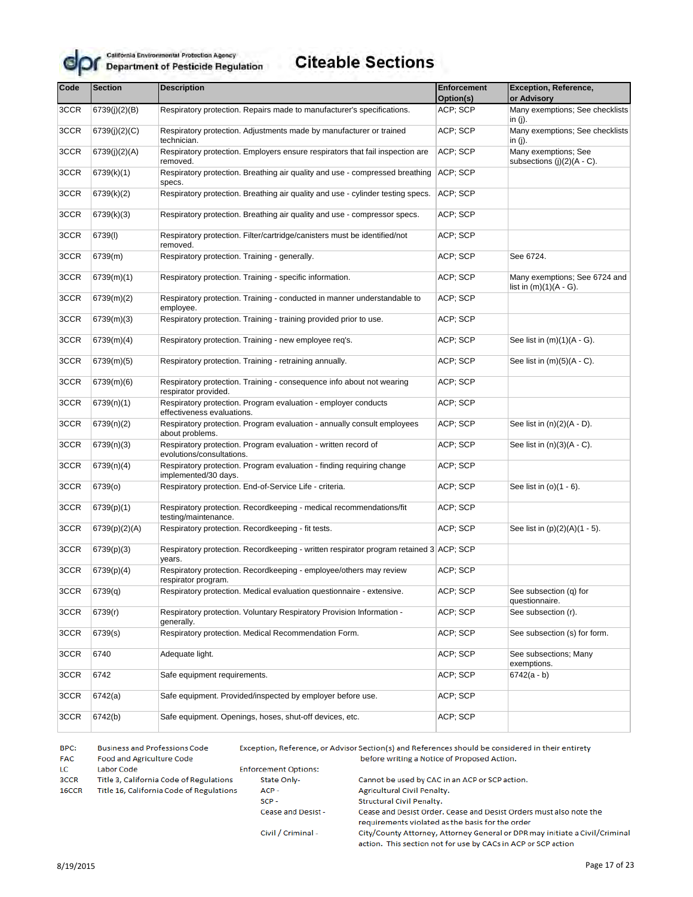

# **Citeable Sections**

| Code | <b>Section</b> | <b>Description</b>                                                                                      | <b>Enforcement</b><br>Option(s)           | <b>Exception, Reference,</b><br>or Advisory                |  |
|------|----------------|---------------------------------------------------------------------------------------------------------|-------------------------------------------|------------------------------------------------------------|--|
| 3CCR | 6739(j)(2)(B)  | Respiratory protection. Repairs made to manufacturer's specifications.                                  | ACP; SCP                                  | Many exemptions; See checklists<br>in $(i)$ .              |  |
| 3CCR | 6739(j)(2)(C)  | Respiratory protection. Adjustments made by manufacturer or trained<br>technician.                      | ACP; SCP                                  | Many exemptions; See checklists<br>in $(i)$ .              |  |
| 3CCR | 6739(j)(2)(A)  | Respiratory protection. Employers ensure respirators that fail inspection are<br>removed.               | ACP; SCP                                  | Many exemptions; See<br>subsections $(j)(2)(A - C)$ .      |  |
| 3CCR | 6739(k)(1)     | Respiratory protection. Breathing air quality and use - compressed breathing<br>specs.                  | ACP; SCP                                  |                                                            |  |
| 3CCR | 6739(k)(2)     | Respiratory protection. Breathing air quality and use - cylinder testing specs.                         | ACP; SCP                                  |                                                            |  |
| 3CCR | 6739(k)(3)     | Respiratory protection. Breathing air quality and use - compressor specs.                               | ACP; SCP                                  |                                                            |  |
| 3CCR | 6739(I)        | Respiratory protection. Filter/cartridge/canisters must be identified/not<br>removed.                   | ACP; SCP                                  |                                                            |  |
| 3CCR | 6739(m)        | Respiratory protection. Training - generally.                                                           | ACP; SCP                                  | See 6724.                                                  |  |
| 3CCR | 6739(m)(1)     | Respiratory protection. Training - specific information.                                                | ACP; SCP                                  | Many exemptions; See 6724 and<br>list in $(m)(1)(A - G)$ . |  |
| 3CCR | 6739(m)(2)     | Respiratory protection. Training - conducted in manner understandable to<br>employee.                   | ACP; SCP                                  |                                                            |  |
| 3CCR | 6739(m)(3)     | Respiratory protection. Training - training provided prior to use.                                      | ACP; SCP                                  |                                                            |  |
| 3CCR | 6739(m)(4)     | Respiratory protection. Training - new employee req's.                                                  | ACP; SCP                                  | See list in $(m)(1)(A - G)$ .                              |  |
| 3CCR | 6739(m)(5)     | Respiratory protection. Training - retraining annually.                                                 | ACP; SCP<br>See list in $(m)(5)(A - C)$ . |                                                            |  |
| 3CCR | 6739(m)(6)     | Respiratory protection. Training - consequence info about not wearing<br>respirator provided.           | ACP; SCP                                  |                                                            |  |
| 3CCR | 6739(n)(1)     | Respiratory protection. Program evaluation - employer conducts<br>effectiveness evaluations.            | ACP; SCP                                  |                                                            |  |
| 3CCR | 6739(n)(2)     | ACP; SCP<br>Respiratory protection. Program evaluation - annually consult employees<br>about problems.  |                                           | See list in $(n)(2)(A - D)$ .                              |  |
| 3CCR | 6739(n)(3)     | ACP; SCP<br>Respiratory protection. Program evaluation - written record of<br>evolutions/consultations. |                                           | See list in $(n)(3)(A - C)$ .                              |  |
| 3CCR | 6739(n)(4)     | Respiratory protection. Program evaluation - finding requiring change<br>implemented/30 days.           | ACP; SCP                                  |                                                            |  |
| 3CCR | 6739(o)        | Respiratory protection. End-of-Service Life - criteria.                                                 | ACP; SCP                                  | See list in (o)(1 - 6).                                    |  |
| 3CCR | 6739(p)(1)     | Respiratory protection. Recordkeeping - medical recommendations/fit<br>testing/maintenance.             | ACP; SCP                                  |                                                            |  |
| 3CCR | 6739(p)(2)(A)  | Respiratory protection. Recordkeeping - fit tests.                                                      | ACP; SCP                                  | See list in (p)(2)(A)(1 - 5).                              |  |
| 3CCR | 6739(p)(3)     | Respiratory protection. Recordkeeping - written respirator program retained 3 ACP; SCP<br>years.        |                                           |                                                            |  |
| 3CCR | 6739(p)(4)     | Respiratory protection. Recordkeeping - employee/others may review<br>respirator program.               | ACP; SCP                                  |                                                            |  |
| 3CCR | 6739(q)        | Respiratory protection. Medical evaluation questionnaire - extensive.                                   | ACP; SCP                                  | See subsection (q) for<br>questionnaire.                   |  |
| 3CCR | 6739(r)        | Respiratory protection. Voluntary Respiratory Provision Information -<br>generally.                     | ACP; SCP                                  | See subsection (r).                                        |  |
| 3CCR | 6739(s)        | Respiratory protection. Medical Recommendation Form.                                                    | ACP; SCP                                  | See subsection (s) for form.                               |  |
| 3CCR | 6740           | Adequate light.                                                                                         | ACP; SCP                                  | See subsections; Many<br>exemptions.                       |  |
| 3CCR | 6742           | Safe equipment requirements.                                                                            | ACP; SCP                                  | $6742(a - b)$                                              |  |
| 3CCR | 6742(a)        | Safe equipment. Provided/inspected by employer before use.                                              | ACP; SCP                                  |                                                            |  |
| 3CCR | 6742(b)        | Safe equipment. Openings, hoses, shut-off devices, etc.                                                 | ACP; SCP                                  |                                                            |  |

BPC: **Business and Professions Code** Exception, Reference, or Advisor Section(s) and References should be considered in their entirety **FAC** Food and Agriculture Code before writing a Notice of Proposed Action. **Enforcement Options:** LC. Labor Code 3CCR Title 3, California Code of Regulations State Only-Cannot be used by CAC in an ACP or SCP action. ACP-16CCR Title 16, California Code of Regulations Agricultural Civil Penalty.  $SCP -$ Structural Civil Penalty. Cease and Desist -Cease and Desist Order. Cease and Desist Orders must also note the requirements violated as the basis for the order City/County Attorney, Attorney General or DPR may initiate a Civil/Criminal Civil / Criminal -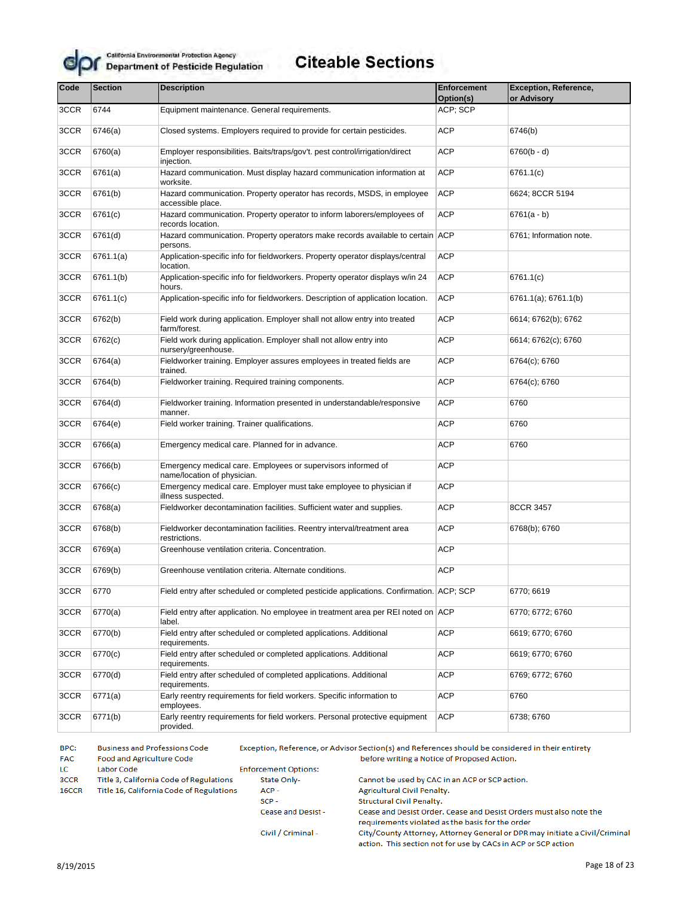

# **Citeable Sections**

| Code | <b>Section</b> | <b>Description</b><br>Enforcement                                                            |                       | Exception, Reference,<br>or Advisory |
|------|----------------|----------------------------------------------------------------------------------------------|-----------------------|--------------------------------------|
| 3CCR | 6744           | Equipment maintenance. General requirements.                                                 | Option(s)<br>ACP; SCP |                                      |
|      |                |                                                                                              |                       |                                      |
| 3CCR | 6746(a)        | Closed systems. Employers required to provide for certain pesticides.                        | <b>ACP</b>            | 6746(b)                              |
| 3CCR | 6760(a)        | Employer responsibilities. Baits/traps/gov't. pest control/irrigation/direct<br>injection.   | <b>ACP</b>            | $6760(b - d)$                        |
| 3CCR | 6761(a)        | Hazard communication. Must display hazard communication information at<br>worksite.          | <b>ACP</b>            | 6761.1(c)                            |
| 3CCR | 6761(b)        | Hazard communication. Property operator has records, MSDS, in employee<br>accessible place.  | <b>ACP</b>            | 6624; 8CCR 5194                      |
| 3CCR | 6761(c)        | Hazard communication. Property operator to inform laborers/employees of<br>records location. | <b>ACP</b>            | $6761(a - b)$                        |
| 3CCR | 6761(d)        | Hazard communication. Property operators make records available to certain ACP<br>persons.   |                       | 6761; Information note.              |
| 3CCR | 6761.1(a)      | Application-specific info for fieldworkers. Property operator displays/central<br>location.  | <b>ACP</b>            |                                      |
| 3CCR | 6761.1(b)      | Application-specific info for fieldworkers. Property operator displays w/in 24<br>hours.     | <b>ACP</b>            | 6761.1(c)                            |
| 3CCR | 6761.1(c)      | Application-specific info for fieldworkers. Description of application location.             | <b>ACP</b>            | 6761.1(a); 6761.1(b)                 |
| 3CCR | 6762(b)        | Field work during application. Employer shall not allow entry into treated<br>farm/forest.   | <b>ACP</b>            | 6614; 6762(b); 6762                  |
| 3CCR | 6762(c)        | Field work during application. Employer shall not allow entry into<br>nursery/greenhouse.    | <b>ACP</b>            | 6614; 6762(c); 6760                  |
| 3CCR | 6764(a)        | Fieldworker training. Employer assures employees in treated fields are<br>trained.           | <b>ACP</b>            | 6764(c); 6760                        |
| 3CCR | 6764(b)        | Fieldworker training. Required training components.                                          | <b>ACP</b>            | 6764(c); 6760                        |
| 3CCR | 6764(d)        | Fieldworker training. Information presented in understandable/responsive<br>manner.          |                       | 6760                                 |
| 3CCR | 6764(e)        | Field worker training. Trainer qualifications.                                               |                       | 6760                                 |
| 3CCR | 6766(a)        | Emergency medical care. Planned for in advance.                                              | <b>ACP</b>            | 6760                                 |
| 3CCR | 6766(b)        | Emergency medical care. Employees or supervisors informed of<br>name/location of physician.  | <b>ACP</b>            |                                      |
| 3CCR | 6766(c)        | Emergency medical care. Employer must take employee to physician if<br>illness suspected.    | <b>ACP</b>            |                                      |
| 3CCR | 6768(a)        | Fieldworker decontamination facilities. Sufficient water and supplies.                       | <b>ACP</b>            | 8CCR 3457                            |
| 3CCR | 6768(b)        | Fieldworker decontamination facilities. Reentry interval/treatment area<br>restrictions.     | <b>ACP</b>            | 6768(b); 6760                        |
| 3CCR | 6769(a)        | Greenhouse ventilation criteria. Concentration.                                              | <b>ACP</b>            |                                      |
| 3CCR | 6769(b)        | Greenhouse ventilation criteria. Alternate conditions.                                       | <b>ACP</b>            |                                      |
| 3CCR | 6770           | Field entry after scheduled or completed pesticide applications. Confirmation. ACP; SCP      |                       | 6770; 6619                           |
| 3CCR | 6770(a)        | Field entry after application. No employee in treatment area per REI noted on ACP<br>label.  |                       | 6770; 6772; 6760                     |
| 3CCR | 6770(b)        | Field entry after scheduled or completed applications. Additional<br>requirements.           | ACP                   | 6619; 6770; 6760                     |
| 3CCR | 6770(c)        | Field entry after scheduled or completed applications. Additional<br>requirements.           | ACP                   | 6619; 6770; 6760                     |
| 3CCR | 6770(d)        | Field entry after scheduled of completed applications. Additional<br>requirements.           | ACP                   | 6769; 6772; 6760                     |
| 3CCR | 6771(a)        | Early reentry requirements for field workers. Specific information to<br>employees.          | <b>ACP</b>            | 6760                                 |
| 3CCR | 6771(b)        | Early reentry requirements for field workers. Personal protective equipment<br>provided.     | ACP                   | 6738; 6760                           |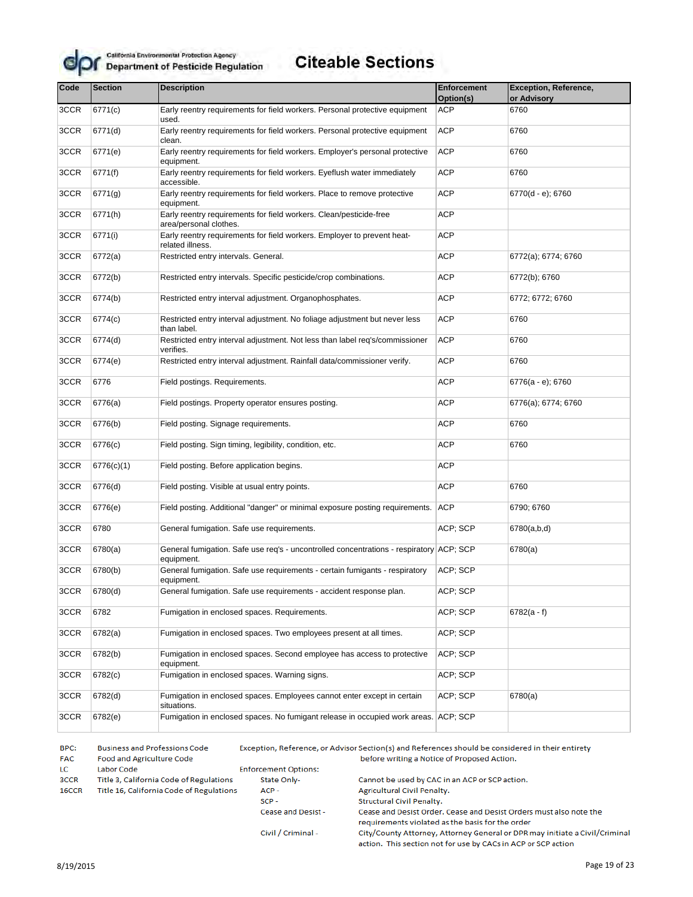

## **Citeable Sections**

| Code | <b>Section</b> | <b>Description</b>                                                                                    | <b>Enforcement</b><br>Option(s) | <b>Exception, Reference,</b><br>or Advisory |
|------|----------------|-------------------------------------------------------------------------------------------------------|---------------------------------|---------------------------------------------|
| 3CCR | 6771(c)        | Early reentry requirements for field workers. Personal protective equipment<br>used.                  | <b>ACP</b>                      | 6760                                        |
| 3CCR | 6771(d)        | Early reentry requirements for field workers. Personal protective equipment<br>clean.                 | <b>ACP</b>                      | 6760                                        |
| 3CCR | 6771(e)        | Early reentry requirements for field workers. Employer's personal protective<br>equipment.            | <b>ACP</b>                      | 6760                                        |
| 3CCR | 6771(f)        | Early reentry requirements for field workers. Eyeflush water immediately<br>accessible.               | <b>ACP</b>                      | 6760                                        |
| 3CCR | 6771(g)        | Early reentry requirements for field workers. Place to remove protective<br>equipment.                | <b>ACP</b>                      | 6770(d - e); 6760                           |
| 3CCR | 6771(h)        | Early reentry requirements for field workers. Clean/pesticide-free<br>area/personal clothes.          | <b>ACP</b>                      |                                             |
| 3CCR | 6771(i)        | Early reentry requirements for field workers. Employer to prevent heat-<br>related illness.           | <b>ACP</b>                      |                                             |
| 3CCR | 6772(a)        | Restricted entry intervals. General.                                                                  | <b>ACP</b>                      | 6772(a); 6774; 6760                         |
| 3CCR | 6772(b)        | Restricted entry intervals. Specific pesticide/crop combinations.                                     | <b>ACP</b>                      | 6772(b); 6760                               |
| 3CCR | 6774(b)        | Restricted entry interval adjustment. Organophosphates.                                               | <b>ACP</b>                      | 6772; 6772; 6760                            |
| 3CCR | 6774(c)        | Restricted entry interval adjustment. No foliage adjustment but never less<br>than label.             | <b>ACP</b>                      | 6760                                        |
| 3CCR | 6774(d)        | Restricted entry interval adjustment. Not less than label req's/commissioner<br>verifies.             | <b>ACP</b>                      | 6760                                        |
| 3CCR | 6774(e)        | Restricted entry interval adjustment. Rainfall data/commissioner verify.                              | <b>ACP</b>                      | 6760                                        |
| 3CCR | 6776           | Field postings. Requirements.                                                                         | <b>ACP</b>                      | 6776(a - e); 6760                           |
| 3CCR | 6776(a)        | Field postings. Property operator ensures posting.                                                    | <b>ACP</b>                      | 6776(a); 6774; 6760                         |
| 3CCR | 6776(b)        | Field posting. Signage requirements.                                                                  | <b>ACP</b>                      | 6760                                        |
| 3CCR | 6776(c)        | Field posting. Sign timing, legibility, condition, etc.                                               | <b>ACP</b>                      | 6760                                        |
| 3CCR | 6776(c)(1)     | Field posting. Before application begins.                                                             | <b>ACP</b>                      |                                             |
| 3CCR | 6776(d)        | Field posting. Visible at usual entry points.                                                         | <b>ACP</b>                      | 6760                                        |
| 3CCR | 6776(e)        | Field posting. Additional "danger" or minimal exposure posting requirements.                          | <b>ACP</b>                      | 6790; 6760                                  |
| 3CCR | 6780           | General fumigation. Safe use requirements.                                                            | ACP; SCP                        | 6780(a,b,d)                                 |
| 3CCR | 6780(a)        | General fumigation. Safe use req's - uncontrolled concentrations - respiratory ACP; SCP<br>equipment. |                                 | 6780(a)                                     |
| 3CCR | 6780(b)        | General fumigation. Safe use requirements - certain fumigants - respiratory<br>equipment.             | ACP; SCP                        |                                             |
| 3CCR | 6780(d)        | General fumigation. Safe use requirements - accident response plan.                                   | ACP; SCP                        |                                             |
| 3CCR | 6782           | Fumigation in enclosed spaces. Requirements.                                                          | ACP; SCP                        | $6782(a - f)$                               |
| 3CCR | 6782(a)        | Fumigation in enclosed spaces. Two employees present at all times.                                    | ACP; SCP                        |                                             |
| 3CCR | 6782(b)        | Fumigation in enclosed spaces. Second employee has access to protective<br>equipment.                 | ACP; SCP                        |                                             |
| 3CCR | 6782(c)        | Fumigation in enclosed spaces. Warning signs.                                                         | ACP; SCP                        |                                             |
| 3CCR | 6782(d)        | Fumigation in enclosed spaces. Employees cannot enter except in certain<br>situations.                | ACP; SCP                        | 6780(a)                                     |
| 3CCR | 6782(e)        | Fumigation in enclosed spaces. No fumigant release in occupied work areas. ACP: SCP                   |                                 |                                             |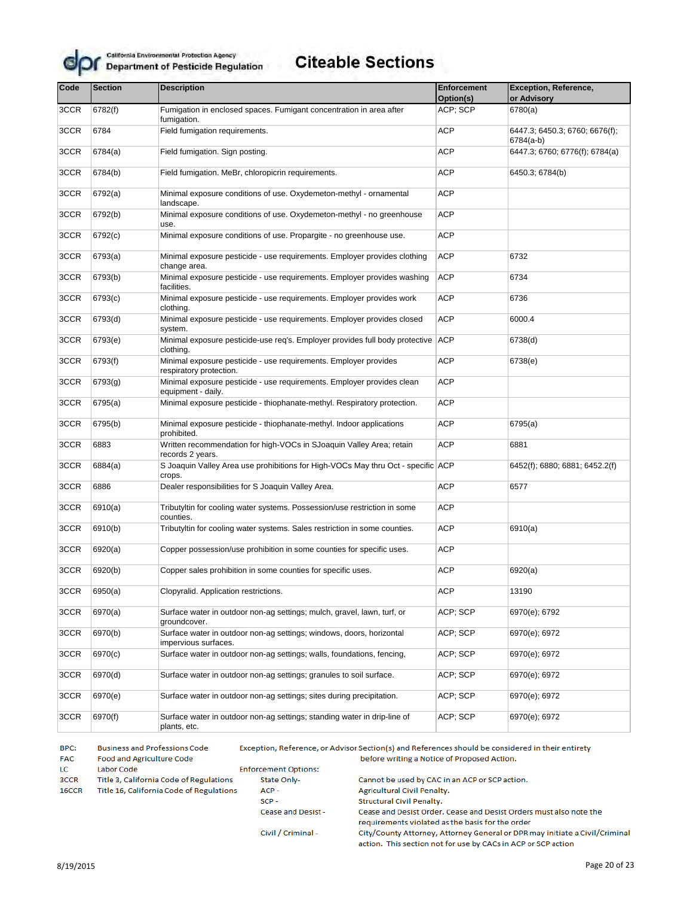

# **Citeable Sections**

| Code | <b>Section</b> | <b>Description</b>                                                                                         | <b>Enforcement</b> | <b>Exception, Reference,</b>                |
|------|----------------|------------------------------------------------------------------------------------------------------------|--------------------|---------------------------------------------|
|      |                |                                                                                                            | Option(s)          | or Advisory                                 |
| 3CCR | 6782(f)        | Fumigation in enclosed spaces. Fumigant concentration in area after<br>fumigation.                         | ACP; SCP           | 6780(a)                                     |
| 3CCR | 6784           | Field fumigation requirements.                                                                             | <b>ACP</b>         | 6447.3; 6450.3; 6760; 6676(f);<br>6784(a-b) |
| 3CCR | 6784(a)        | Field fumigation. Sign posting.                                                                            | ACP                | 6447.3; 6760; 6776(f); 6784(a)              |
| 3CCR | 6784(b)        | Field fumigation. MeBr, chloropicrin requirements.                                                         | ACP                | 6450.3; 6784(b)                             |
| 3CCR | 6792(a)        | Minimal exposure conditions of use. Oxydemeton-methyl - ornamental<br>landscape.                           | ACP                |                                             |
| 3CCR | 6792(b)        | Minimal exposure conditions of use. Oxydemeton-methyl - no greenhouse<br>use.                              | <b>ACP</b>         |                                             |
| 3CCR | 6792(c)        | Minimal exposure conditions of use. Propargite - no greenhouse use.                                        | ACP                |                                             |
| 3CCR | 6793(a)        | Minimal exposure pesticide - use requirements. Employer provides clothing<br>change area.                  | <b>ACP</b>         | 6732                                        |
| 3CCR | 6793(b)        | Minimal exposure pesticide - use requirements. Employer provides washing<br>facilities.                    | <b>ACP</b>         | 6734                                        |
| 3CCR | 6793(c)        | Minimal exposure pesticide - use requirements. Employer provides work<br>clothing.                         | ACP                | 6736                                        |
| 3CCR | 6793(d)        | Minimal exposure pesticide - use requirements. Employer provides closed<br>system.                         | ACP                | 6000.4                                      |
| 3CCR | 6793(e)        | Minimal exposure pesticide-use req's. Employer provides full body protective ACP<br>clothing.              |                    | 6738(d)                                     |
| 3CCR | 6793(f)        | ACP<br>Minimal exposure pesticide - use requirements. Employer provides<br>respiratory protection.         |                    | 6738(e)                                     |
| 3CCR | 6793(g)        | <b>ACP</b><br>Minimal exposure pesticide - use requirements. Employer provides clean<br>equipment - daily. |                    |                                             |
| 3CCR | 6795(a)        | Minimal exposure pesticide - thiophanate-methyl. Respiratory protection.                                   |                    |                                             |
| 3CCR | 6795(b)        | Minimal exposure pesticide - thiophanate-methyl. Indoor applications<br>prohibited.                        |                    | 6795(a)                                     |
| 3CCR | 6883           | Written recommendation for high-VOCs in SJoaquin Valley Area; retain<br>records 2 years.                   | ACP                | 6881                                        |
| 3CCR | 6884(a)        | S Joaquin Valley Area use prohibitions for High-VOCs May thru Oct - specific ACP<br>crops.                 |                    | 6452(f); 6880; 6881; 6452.2(f)              |
| 3CCR | 6886           | Dealer responsibilities for S Joaquin Valley Area.                                                         | ACP                | 6577                                        |
| 3CCR | 6910(a)        | Tributyltin for cooling water systems. Possession/use restriction in some<br>counties.                     | ACP                |                                             |
| 3CCR | 6910(b)        | Tributyltin for cooling water systems. Sales restriction in some counties.                                 | ACP                | 6910(a)                                     |
| 3CCR | 6920(a)        | Copper possession/use prohibition in some counties for specific uses.                                      | ACP                |                                             |
| 3CCR | 6920(b)        | Copper sales prohibition in some counties for specific uses.                                               | ACP                | 6920(a)                                     |
| 3CCR | 6950(a)        | Clopyralid. Application restrictions.                                                                      | <b>ACP</b>         | 13190                                       |
| 3CCR | 6970(a)        | Surface water in outdoor non-ag settings; mulch, gravel, lawn, turf, or<br>groundcover.                    | ACP; SCP           | 6970(e); 6792                               |
| 3CCR | 6970(b)        | Surface water in outdoor non-ag settings; windows, doors, horizontal<br>impervious surfaces.               | ACP; SCP           | 6970(e); 6972                               |
| 3CCR | 6970(c)        | Surface water in outdoor non-ag settings; walls, foundations, fencing,                                     | ACP; SCP           | 6970(e); 6972                               |
| 3CCR | 6970(d)        | Surface water in outdoor non-ag settings; granules to soil surface.                                        | ACP; SCP           | 6970(e); 6972                               |
| 3CCR | 6970(e)        | Surface water in outdoor non-ag settings; sites during precipitation.                                      | ACP; SCP           | 6970(e); 6972                               |
| 3CCR | 6970(f)        | Surface water in outdoor non-ag settings; standing water in drip-line of<br>plants, etc.                   | ACP; SCP           | 6970(e); 6972                               |

BPC: **Business and Professions Code** Exception, Reference, or Advisor Section(s) and References should be considered in their entirety **FAC** Food and Agriculture Code before writing a Notice of Proposed Action. **Enforcement Options:** LC. Labor Code 3CCR Title 3, California Code of Regulations State Only-Cannot be used by CAC in an ACP or SCP action. ACP-16CCR Title 16, California Code of Regulations Agricultural Civil Penalty.  $SCP -$ Structural Civil Penalty. Cease and Desist -Cease and Desist Order. Cease and Desist Orders must also note the requirements violated as the basis for the order City/County Attorney, Attorney General or DPR may initiate a Civil/Criminal Civil / Criminal -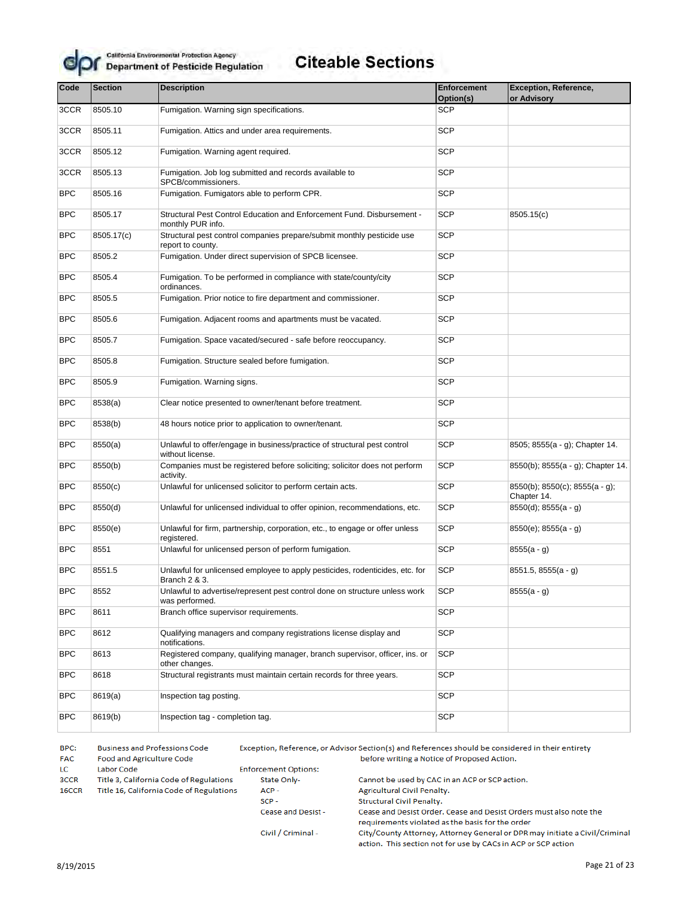

# **Citeable Sections**

| Code       | <b>Section</b><br><b>Description</b>                                   |                                                                                               | <b>Enforcement</b><br>Option(s) | <b>Exception, Reference,</b><br>or Advisory            |  |
|------------|------------------------------------------------------------------------|-----------------------------------------------------------------------------------------------|---------------------------------|--------------------------------------------------------|--|
| 3CCR       | 8505.10                                                                | Fumigation. Warning sign specifications.                                                      | <b>SCP</b>                      |                                                        |  |
| 3CCR       | 8505.11                                                                | Fumigation. Attics and under area requirements.                                               | <b>SCP</b>                      |                                                        |  |
| 3CCR       | 8505.12                                                                | Fumigation. Warning agent required.                                                           | <b>SCP</b>                      |                                                        |  |
| 3CCR       | 8505.13                                                                | Fumigation. Job log submitted and records available to<br>SPCB/commissioners.                 | <b>SCP</b>                      |                                                        |  |
| <b>BPC</b> | 8505.16                                                                | Fumigation. Fumigators able to perform CPR.                                                   | <b>SCP</b>                      |                                                        |  |
| <b>BPC</b> | 8505.17                                                                | Structural Pest Control Education and Enforcement Fund. Disbursement -<br>monthly PUR info.   | <b>SCP</b>                      | 8505.15(c)                                             |  |
| <b>BPC</b> | 8505.17(c)                                                             | Structural pest control companies prepare/submit monthly pesticide use<br>report to county.   | SCP                             |                                                        |  |
| <b>BPC</b> | 8505.2                                                                 | Fumigation. Under direct supervision of SPCB licensee.                                        | <b>SCP</b>                      |                                                        |  |
| <b>BPC</b> | 8505.4                                                                 | Fumigation. To be performed in compliance with state/county/city<br>ordinances.               | <b>SCP</b>                      |                                                        |  |
| <b>BPC</b> | 8505.5                                                                 | Fumigation. Prior notice to fire department and commissioner.                                 | <b>SCP</b>                      |                                                        |  |
| <b>BPC</b> | 8505.6                                                                 | Fumigation. Adjacent rooms and apartments must be vacated.                                    | <b>SCP</b>                      |                                                        |  |
| <b>BPC</b> | 8505.7<br>Fumigation. Space vacated/secured - safe before reoccupancy. |                                                                                               | <b>SCP</b>                      |                                                        |  |
| <b>BPC</b> | Fumigation. Structure sealed before fumigation.<br>8505.8              |                                                                                               | <b>SCP</b>                      |                                                        |  |
| <b>BPC</b> | 8505.9<br>Fumigation. Warning signs.                                   |                                                                                               | <b>SCP</b>                      |                                                        |  |
| <b>BPC</b> | 8538(a)<br>Clear notice presented to owner/tenant before treatment.    |                                                                                               | <b>SCP</b>                      |                                                        |  |
| <b>BPC</b> | 8538(b)                                                                | 48 hours notice prior to application to owner/tenant.                                         | <b>SCP</b>                      |                                                        |  |
| <b>BPC</b> | 8550(a)                                                                | Unlawful to offer/engage in business/practice of structural pest control<br>without license.  | SCP                             | 8505; 8555(a - g); Chapter 14.                         |  |
| <b>BPC</b> | 8550(b)                                                                | Companies must be registered before soliciting; solicitor does not perform<br>activity.       | <b>SCP</b>                      | 8550(b); 8555(a - g); Chapter 14.                      |  |
| <b>BPC</b> | 8550(c)                                                                | Unlawful for unlicensed solicitor to perform certain acts.                                    | <b>SCP</b>                      | $8550(b)$ ; $8550(c)$ ; $8555(a - g)$ ;<br>Chapter 14. |  |
| <b>BPC</b> | 8550(d)                                                                | Unlawful for unlicensed individual to offer opinion, recommendations, etc.                    | <b>SCP</b>                      | $8550(d)$ ; $8555(a - g)$                              |  |
| <b>BPC</b> | 8550(e)                                                                | Unlawful for firm, partnership, corporation, etc., to engage or offer unless<br>registered.   | <b>SCP</b>                      | 8550(e); 8555(a - q)                                   |  |
| <b>BPC</b> | 8551                                                                   | Unlawful for unlicensed person of perform fumigation.                                         | <b>SCP</b>                      | $8555(a - g)$                                          |  |
| <b>BPC</b> | 8551.5                                                                 | Unlawful for unlicensed employee to apply pesticides, rodenticides, etc. for<br>Branch 2 & 3. | <b>SCP</b>                      | 8551.5, 8555(a - g)                                    |  |
| <b>BPC</b> | 8552                                                                   | Unlawful to advertise/represent pest control done on structure unless work<br>was performed.  | <b>SCP</b>                      | $8555(a - g)$                                          |  |
| <b>BPC</b> | 8611                                                                   | Branch office supervisor requirements.                                                        | <b>SCP</b>                      |                                                        |  |
| <b>BPC</b> | 8612                                                                   | Qualifying managers and company registrations license display and<br>notifications.           | <b>SCP</b>                      |                                                        |  |
| <b>BPC</b> | 8613                                                                   | Registered company, qualifying manager, branch supervisor, officer, ins. or<br>other changes. | <b>SCP</b>                      |                                                        |  |
| <b>BPC</b> | 8618                                                                   | Structural registrants must maintain certain records for three years.                         | <b>SCP</b>                      |                                                        |  |
| <b>BPC</b> | 8619(a)                                                                | Inspection tag posting.                                                                       | <b>SCP</b>                      |                                                        |  |
| <b>BPC</b> | 8619(b)                                                                | Inspection tag - completion tag.                                                              | <b>SCP</b>                      |                                                        |  |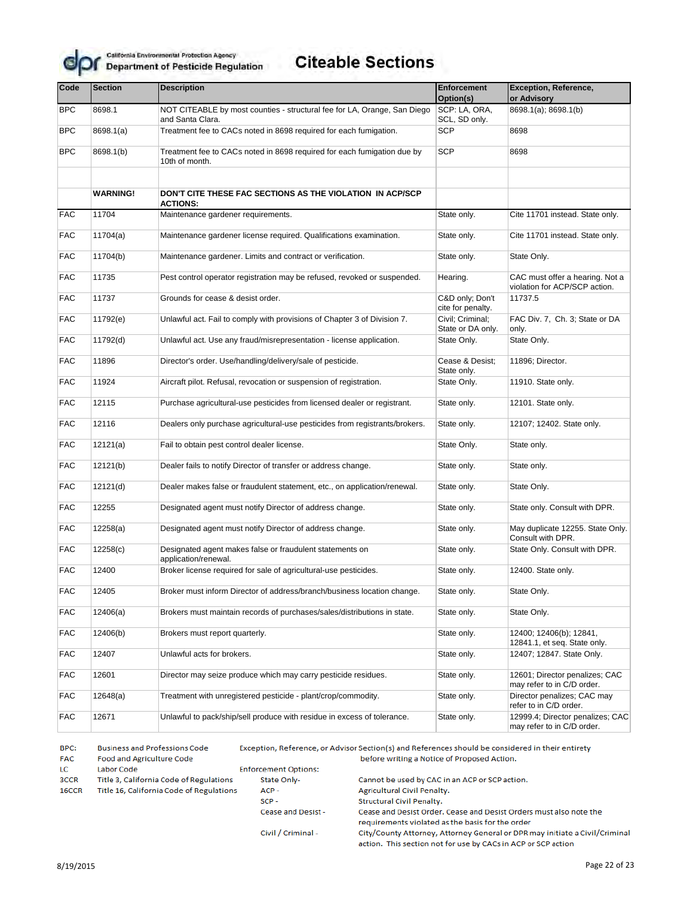

# **Citeable Sections**

| Code       | <b>Section</b>  | <b>Description</b>                                                                               | <b>Enforcement</b>                    | Exception, Reference,                                            |  |
|------------|-----------------|--------------------------------------------------------------------------------------------------|---------------------------------------|------------------------------------------------------------------|--|
|            |                 |                                                                                                  | Option(s)                             | or Advisory                                                      |  |
| <b>BPC</b> | 8698.1          | NOT CITEABLE by most counties - structural fee for LA, Orange, San Diego<br>and Santa Clara.     | SCP: LA, ORA,<br>SCL, SD only.        | 8698.1(a); 8698.1(b)                                             |  |
| <b>BPC</b> | 8698.1(a)       | Treatment fee to CACs noted in 8698 required for each fumigation.                                | <b>SCP</b>                            | 8698                                                             |  |
| <b>BPC</b> | 8698.1(b)       | Treatment fee to CACs noted in 8698 required for each fumigation due by<br>10th of month.        | <b>SCP</b>                            | 8698                                                             |  |
|            |                 |                                                                                                  |                                       |                                                                  |  |
|            | <b>WARNING!</b> | DON'T CITE THESE FAC SECTIONS AS THE VIOLATION IN ACP/SCP<br><b>ACTIONS:</b>                     |                                       |                                                                  |  |
| <b>FAC</b> | 11704           | Maintenance gardener requirements.                                                               | State only.                           | Cite 11701 instead. State only.                                  |  |
| <b>FAC</b> | 11704(a)        | Maintenance gardener license required. Qualifications examination.                               | State only.                           | Cite 11701 instead. State only.                                  |  |
| <b>FAC</b> | 11704(b)        | Maintenance gardener. Limits and contract or verification.                                       | State only.                           | State Only.                                                      |  |
| <b>FAC</b> | 11735           | Pest control operator registration may be refused, revoked or suspended.                         | Hearing.                              | CAC must offer a hearing. Not a<br>violation for ACP/SCP action. |  |
| <b>FAC</b> | 11737           | Grounds for cease & desist order.                                                                | C&D only; Don't<br>cite for penalty.  | 11737.5                                                          |  |
| <b>FAC</b> | 11792(e)        | Unlawful act. Fail to comply with provisions of Chapter 3 of Division 7.                         | Civil: Criminal:<br>State or DA only. | FAC Div. 7, Ch. 3; State or DA<br>only.                          |  |
| <b>FAC</b> | 11792(d)        | Unlawful act. Use any fraud/misrepresentation - license application.<br>State Only.              |                                       | State Only.                                                      |  |
| <b>FAC</b> | 11896           | Director's order. Use/handling/delivery/sale of pesticide.                                       |                                       | 11896; Director.                                                 |  |
| <b>FAC</b> | 11924           | State only.<br>Aircraft pilot. Refusal, revocation or suspension of registration.<br>State Only. |                                       | 11910. State only.                                               |  |
| <b>FAC</b> | 12115           | Purchase agricultural-use pesticides from licensed dealer or registrant.                         | State only.                           | 12101. State only.                                               |  |
| <b>FAC</b> | 12116           | Dealers only purchase agricultural-use pesticides from registrants/brokers.<br>State only.       |                                       | 12107; 12402. State only.                                        |  |
| <b>FAC</b> | 12121(a)        | Fail to obtain pest control dealer license.                                                      | State Only.                           | State only.                                                      |  |
| <b>FAC</b> | 12121(b)        | Dealer fails to notify Director of transfer or address change.                                   | State only.                           | State only.                                                      |  |
| <b>FAC</b> | 12121(d)        | Dealer makes false or fraudulent statement, etc., on application/renewal.                        | State only.                           | State Only.                                                      |  |
| <b>FAC</b> | 12255           | Designated agent must notify Director of address change.                                         | State only.                           | State only. Consult with DPR.                                    |  |
| <b>FAC</b> | 12258(a)        | Designated agent must notify Director of address change.                                         | State only.                           | May duplicate 12255. State Only.<br>Consult with DPR.            |  |
| <b>FAC</b> | 12258(c)        | Designated agent makes false or fraudulent statements on<br>application/renewal.                 | State only.                           | State Only. Consult with DPR.                                    |  |
| <b>FAC</b> | 12400           | Broker license required for sale of agricultural-use pesticides.                                 | State only.                           | 12400. State only.                                               |  |
| <b>FAC</b> | 12405           | Broker must inform Director of address/branch/business location change.                          | State only.                           | State Only.                                                      |  |
| <b>FAC</b> | 12406(a)        | Brokers must maintain records of purchases/sales/distributions in state.                         | State only.                           | State Only.                                                      |  |
| <b>FAC</b> | 12406(b)        | Brokers must report quarterly.                                                                   | State only.                           | 12400; 12406(b); 12841,<br>12841.1, et seq. State only.          |  |
| <b>FAC</b> | 12407           | Unlawful acts for brokers.                                                                       | State only.                           | 12407; 12847. State Only.                                        |  |
| <b>FAC</b> | 12601           | Director may seize produce which may carry pesticide residues.                                   | State only.                           | 12601; Director penalizes; CAC<br>may refer to in C/D order.     |  |
| <b>FAC</b> | 12648(a)        | Treatment with unregistered pesticide - plant/crop/commodity.                                    | State only.                           | Director penalizes; CAC may<br>refer to in C/D order.            |  |
| <b>FAC</b> | 12671           | Unlawful to pack/ship/sell produce with residue in excess of tolerance.                          | State only.                           | 12999.4; Director penalizes; CAC<br>may refer to in C/D order.   |  |

BPC: **Business and Professions Code** Exception, Reference, or Advisor Section(s) and References should be considered in their entirety **FAC** Food and Agriculture Code before writing a Notice of Proposed Action. **Enforcement Options:** LC Labor Code 3CCR Title 3, California Code of Regulations State Only-Cannot be used by CAC in an ACP or SCP action. ACP-16CCR Title 16, California Code of Regulations Agricultural Civil Penalty.  $SCP -$ Structural Civil Penalty. Cease and Desist -Cease and Desist Order. Cease and Desist Orders must also note the requirements violated as the basis for the order City/County Attorney, Attorney General or DPR may initiate a Civil/Criminal Civil / Criminal -